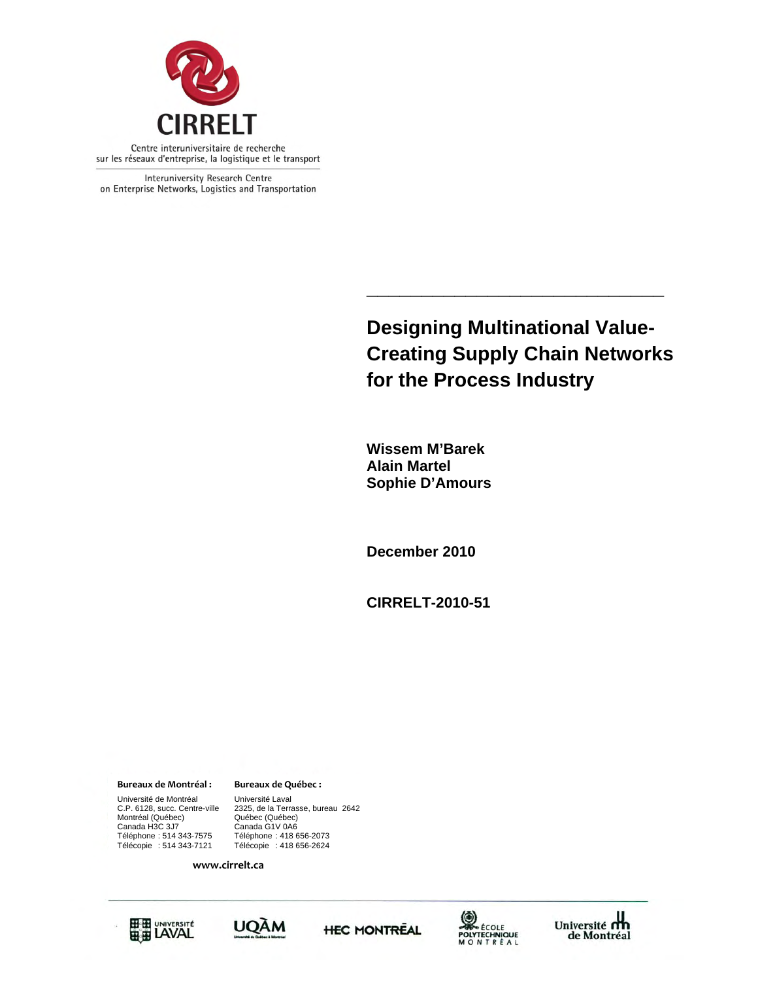

Interuniversity Research Centre on Enterprise Networks, Logistics and Transportation

# **Designing Multinational Value-Creating Supply Chain Networks for the Process Industry**

**\_\_\_\_\_\_\_\_\_\_\_\_\_\_\_\_\_\_\_\_\_\_\_\_\_\_\_** 

 **Wissem M'Barek Alain Martel Sophie D'Amours** 

**December 2010** 

**CIRRELT-2010-51** 

**Bureaux de Montréal : Bureaux de Québec :**

Canada H3C 3J7 Canada G1V 0A6 Université de Montréal [Université Laval C.P. 6128, succ. Centre-ville [2325, de la Terra Montréal (Québec)<br>Canada H3C 3J7 Téléphone : 514 343-7575 Téléphone : 418 656-2073 Télécopie : 514 343-7121 Télécopie : 418 656-2624

2325, de la Terrasse, bureau 2642<br>Québec (Québec)

**www.cirrelt.ca**









Université<br>de Montréal de Montréal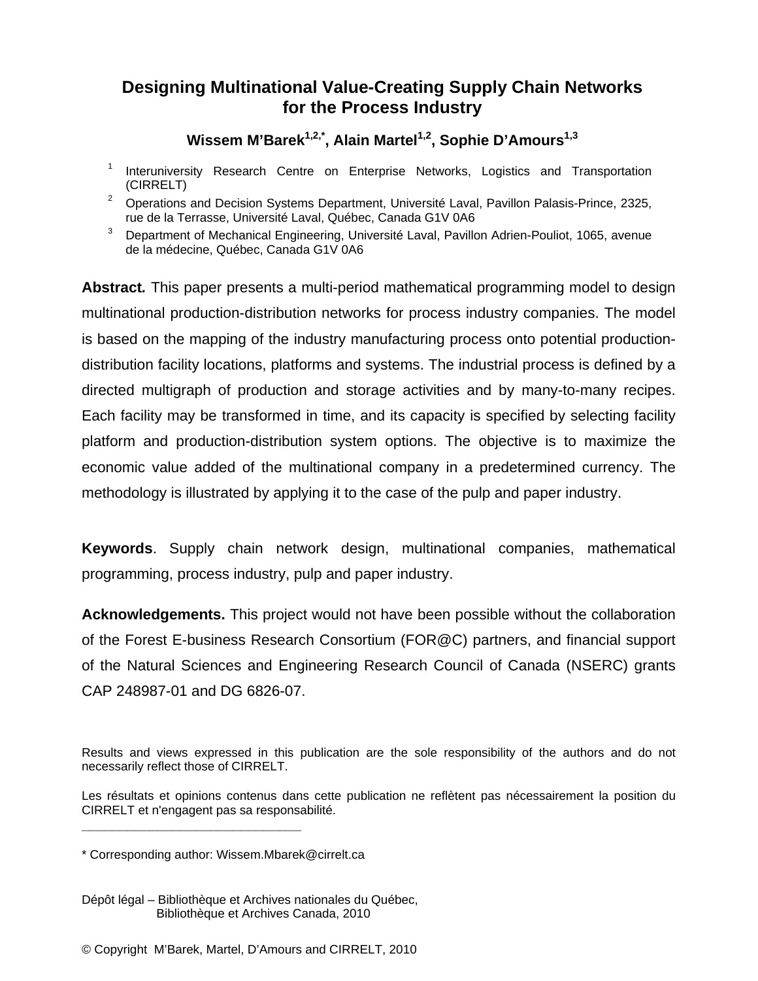# **Designing Multinational Value-Creating Supply Chain Networks for the Process Industry**

# Wissem M'Barek<sup>1,2,\*</sup>, Alain Martel<sup>1,2</sup>, Sophie D'Amours<sup>1,3</sup>

- 1 Interuniversity Research Centre on Enterprise Networks, Logistics and Transportation (CIRRELT)
- <sup>2</sup> Operations and Decision Systems Department, Université Laval, Pavillon Palasis-Prince, 2325, rue de la Terrasse, Université Laval, Québec, Canada G1V 0A6
- 3 Department of Mechanical Engineering, Université Laval, Pavillon Adrien-Pouliot, 1065, avenue de la médecine, Québec, Canada G1V 0A6

**Abstract***.* This paper presents a multi-period mathematical programming model to design multinational production-distribution networks for process industry companies. The model is based on the mapping of the industry manufacturing process onto potential productiondistribution facility locations, platforms and systems. The industrial process is defined by a directed multigraph of production and storage activities and by many-to-many recipes. Each facility may be transformed in time, and its capacity is specified by selecting facility platform and production-distribution system options. The objective is to maximize the economic value added of the multinational company in a predetermined currency. The methodology is illustrated by applying it to the case of the pulp and paper industry.

**Keywords**. Supply chain network design, multinational companies, mathematical programming, process industry, pulp and paper industry.

**Acknowledgements.** This project would not have been possible without the collaboration of the Forest E-business Research Consortium (FOR@C) partners, and financial support of the Natural Sciences and Engineering Research Council of Canada (NSERC) grants CAP 248987-01 and DG 6826-07.

**\_\_\_\_\_\_\_\_\_\_\_\_\_\_\_\_\_\_\_\_\_\_\_\_\_\_\_\_\_**

Results and views expressed in this publication are the sole responsibility of the authors and do not necessarily reflect those of CIRRELT.

Les résultats et opinions contenus dans cette publication ne reflètent pas nécessairement la position du CIRRELT et n'engagent pas sa responsabilité.

<sup>\*</sup> Corresponding author: Wissem.Mbarek@cirrelt.ca

Dépôt légal – Bibliothèque et Archives nationales du Québec, Bibliothèque et Archives Canada, 2010

<sup>©</sup> Copyright M'Barek, Martel, D'Amours and CIRRELT, 2010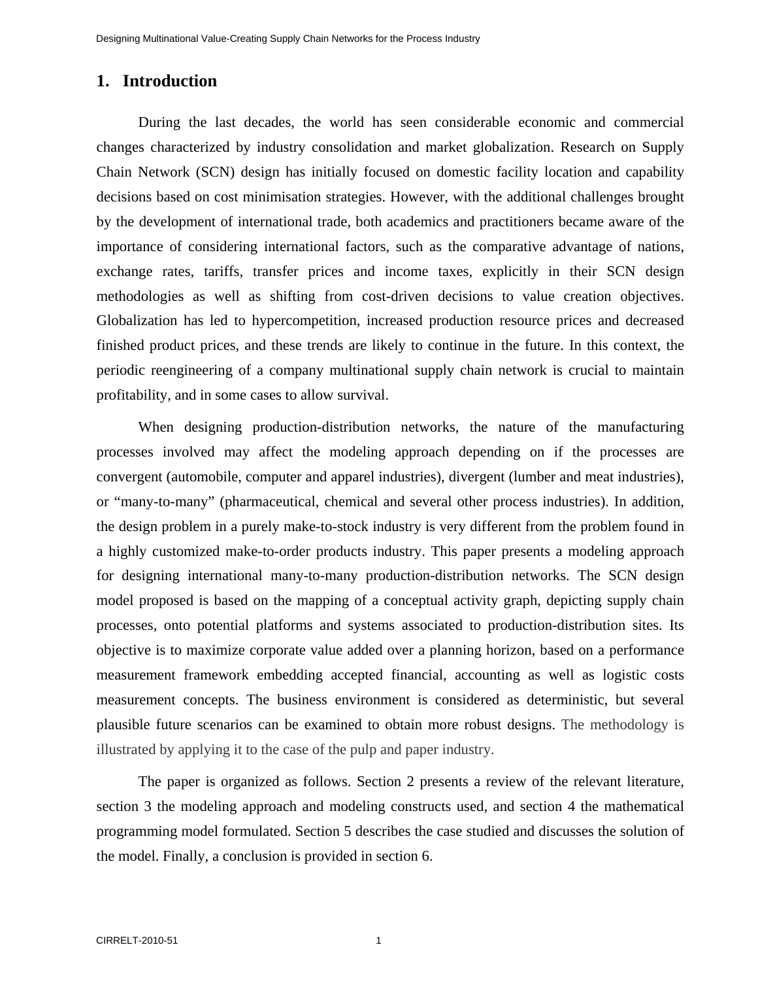# **1. Introduction**

During the last decades, the world has seen considerable economic and commercial changes characterized by industry consolidation and market globalization. Research on Supply Chain Network (SCN) design has initially focused on domestic facility location and capability decisions based on cost minimisation strategies. However, with the additional challenges brought by the development of international trade, both academics and practitioners became aware of the importance of considering international factors, such as the comparative advantage of nations, exchange rates, tariffs, transfer prices and income taxes, explicitly in their SCN design methodologies as well as shifting from cost-driven decisions to value creation objectives. Globalization has led to hypercompetition, increased production resource prices and decreased finished product prices, and these trends are likely to continue in the future. In this context, the periodic reengineering of a company multinational supply chain network is crucial to maintain profitability, and in some cases to allow survival.

When designing production-distribution networks, the nature of the manufacturing processes involved may affect the modeling approach depending on if the processes are convergent (automobile, computer and apparel industries), divergent (lumber and meat industries), or "many-to-many" (pharmaceutical, chemical and several other process industries). In addition, the design problem in a purely make-to-stock industry is very different from the problem found in a highly customized make-to-order products industry. This paper presents a modeling approach for designing international many-to-many production-distribution networks. The SCN design model proposed is based on the mapping of a conceptual activity graph, depicting supply chain processes, onto potential platforms and systems associated to production-distribution sites. Its objective is to maximize corporate value added over a planning horizon, based on a performance measurement framework embedding accepted financial, accounting as well as logistic costs measurement concepts. The business environment is considered as deterministic, but several plausible future scenarios can be examined to obtain more robust designs. The methodology is illustrated by applying it to the case of the pulp and paper industry.

The paper is organized as follows. Section 2 presents a review of the relevant literature, section 3 the modeling approach and modeling constructs used, and section 4 the mathematical programming model formulated. Section 5 describes the case studied and discusses the solution of the model. Finally, a conclusion is provided in section 6.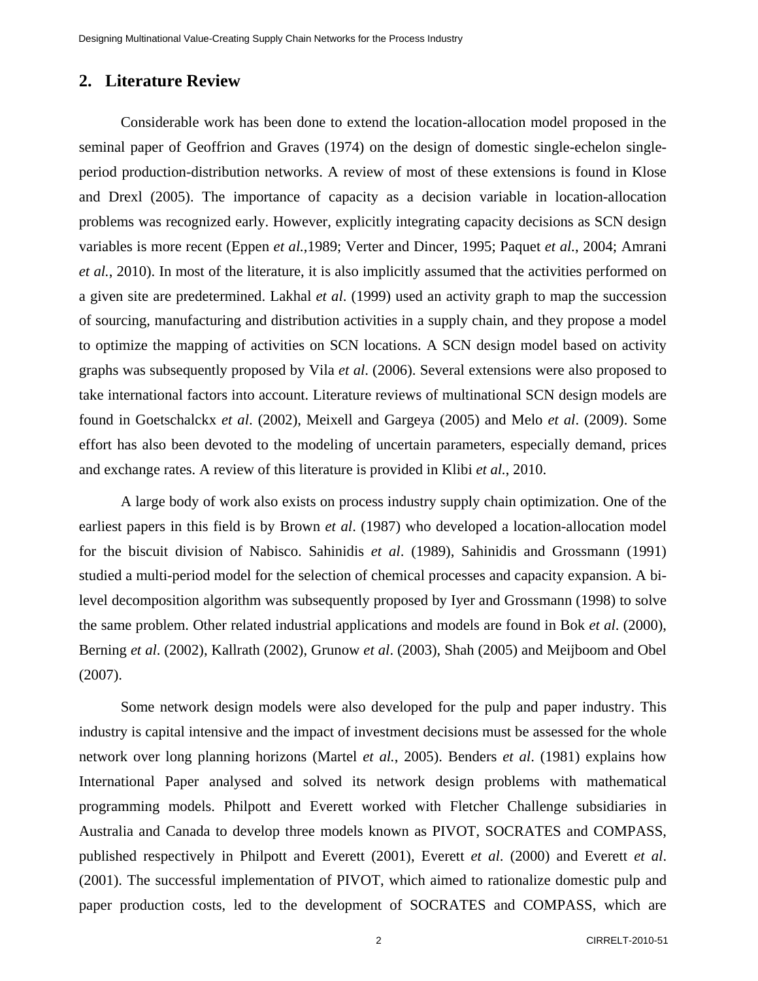# **2. Literature Review**

Considerable work has been done to extend the location-allocation model proposed in the seminal paper of Geoffrion and Graves (1974) on the design of domestic single-echelon singleperiod production-distribution networks. A review of most of these extensions is found in Klose and Drexl (2005). The importance of capacity as a decision variable in location-allocation problems was recognized early. However, explicitly integrating capacity decisions as SCN design variables is more recent (Eppen *et al.*,1989; Verter and Dincer, 1995; Paquet *et al.*, 2004; Amrani *et al.*, 2010). In most of the literature, it is also implicitly assumed that the activities performed on a given site are predetermined. Lakhal *et al*. (1999) used an activity graph to map the succession of sourcing, manufacturing and distribution activities in a supply chain, and they propose a model to optimize the mapping of activities on SCN locations. A SCN design model based on activity graphs was subsequently proposed by Vila *et al*. (2006). Several extensions were also proposed to take international factors into account. Literature reviews of multinational SCN design models are found in Goetschalckx *et al*. (2002), Meixell and Gargeya (2005) and Melo *et al*. (2009). Some effort has also been devoted to the modeling of uncertain parameters, especially demand, prices and exchange rates. A review of this literature is provided in Klibi *et al.*, 2010.

A large body of work also exists on process industry supply chain optimization. One of the earliest papers in this field is by Brown *et al*. (1987) who developed a location-allocation model for the biscuit division of Nabisco. Sahinidis *et al*. (1989), Sahinidis and Grossmann (1991) studied a multi-period model for the selection of chemical processes and capacity expansion. A bilevel decomposition algorithm was subsequently proposed by Iyer and Grossmann (1998) to solve the same problem. Other related industrial applications and models are found in Bok *et al*. (2000), Berning *et al*. (2002), Kallrath (2002), Grunow *et al*. (2003), Shah (2005) and Meijboom and Obel (2007).

Some network design models were also developed for the pulp and paper industry. This industry is capital intensive and the impact of investment decisions must be assessed for the whole network over long planning horizons (Martel *et al.*, 2005). Benders *et al*. (1981) explains how International Paper analysed and solved its network design problems with mathematical programming models. Philpott and Everett worked with Fletcher Challenge subsidiaries in Australia and Canada to develop three models known as PIVOT, SOCRATES and COMPASS, published respectively in Philpott and Everett (2001), Everett *et al*. (2000) and Everett *et al*. (2001). The successful implementation of PIVOT, which aimed to rationalize domestic pulp and paper production costs, led to the development of SOCRATES and COMPASS, which are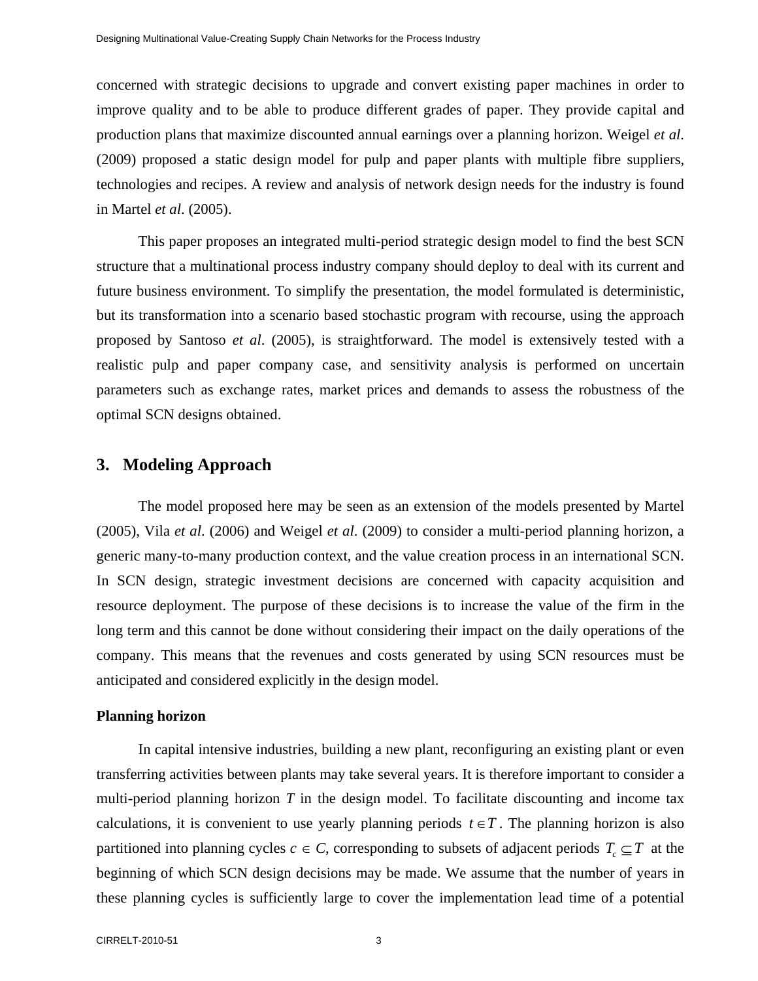concerned with strategic decisions to upgrade and convert existing paper machines in order to improve quality and to be able to produce different grades of paper. They provide capital and production plans that maximize discounted annual earnings over a planning horizon. Weigel *et al*. (2009) proposed a static design model for pulp and paper plants with multiple fibre suppliers, technologies and recipes. A review and analysis of network design needs for the industry is found in Martel *et al*. (2005).

This paper proposes an integrated multi-period strategic design model to find the best SCN structure that a multinational process industry company should deploy to deal with its current and future business environment. To simplify the presentation, the model formulated is deterministic, but its transformation into a scenario based stochastic program with recourse, using the approach proposed by Santoso *et al*. (2005), is straightforward. The model is extensively tested with a realistic pulp and paper company case, and sensitivity analysis is performed on uncertain parameters such as exchange rates, market prices and demands to assess the robustness of the optimal SCN designs obtained.

### **3. Modeling Approach**

The model proposed here may be seen as an extension of the models presented by Martel (2005), Vila *et al*. (2006) and Weigel *et al*. (2009) to consider a multi-period planning horizon, a generic many-to-many production context, and the value creation process in an international SCN. In SCN design, strategic investment decisions are concerned with capacity acquisition and resource deployment. The purpose of these decisions is to increase the value of the firm in the long term and this cannot be done without considering their impact on the daily operations of the company. This means that the revenues and costs generated by using SCN resources must be anticipated and considered explicitly in the design model.

#### **Planning horizon**

In capital intensive industries, building a new plant, reconfiguring an existing plant or even transferring activities between plants may take several years. It is therefore important to consider a multi-period planning horizon *T* in the design model. To facilitate discounting and income tax calculations, it is convenient to use yearly planning periods  $t \in T$ . The planning horizon is also partitioned into planning cycles  $c \in C$ , corresponding to subsets of adjacent periods  $T_c \subseteq T$  at the beginning of which SCN design decisions may be made. We assume that the number of years in these planning cycles is sufficiently large to cover the implementation lead time of a potential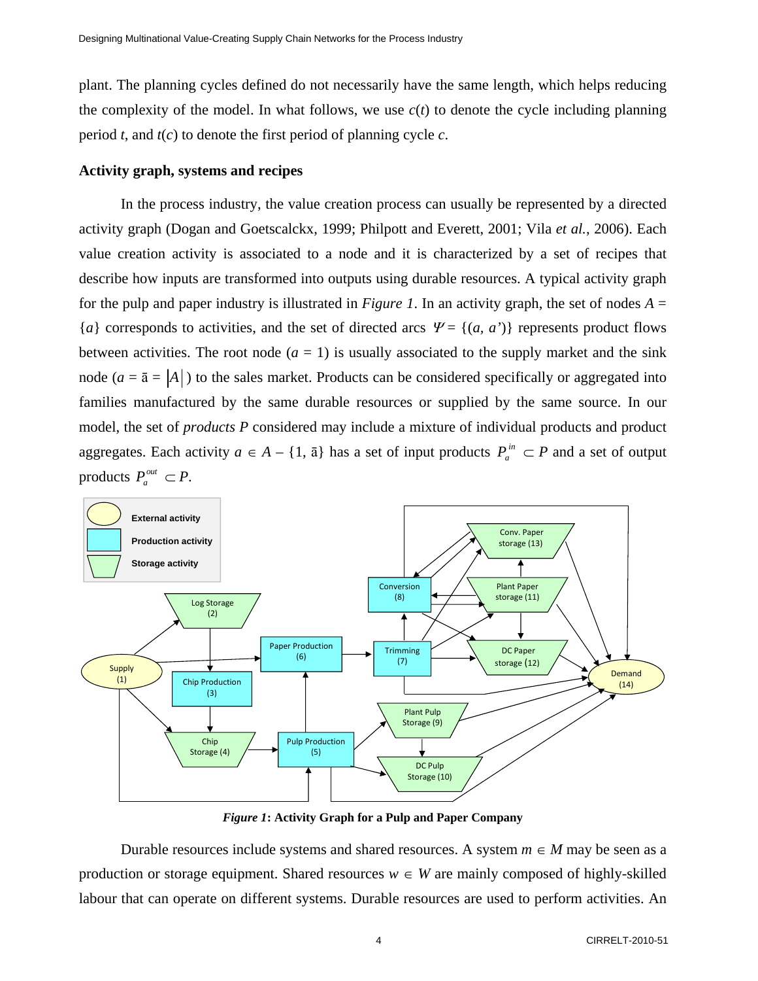plant. The planning cycles defined do not necessarily have the same length, which helps reducing the complexity of the model. In what follows, we use  $c(t)$  to denote the cycle including planning period *t*, and  $t(c)$  to denote the first period of planning cycle *c*.

#### **Activity graph, systems and recipes**

In the process industry, the value creation process can usually be represented by a directed activity graph (Dogan and Goetscalckx, 1999; Philpott and Everett, 2001; Vila *et al.*, 2006). Each value creation activity is associated to a node and it is characterized by a set of recipes that describe how inputs are transformed into outputs using durable resources. A typical activity graph for the pulp and paper industry is illustrated in *Figure 1*. In an activity graph, the set of nodes  $A =$  ${a}$  corresponds to activities, and the set of directed arcs  $\Psi = {(a, a')}$  represents product flows between activities. The root node  $(a = 1)$  is usually associated to the supply market and the sink node ( $a = \bar{a} = |A|$ ) to the sales market. Products can be considered specifically or aggregated into families manufactured by the same durable resources or supplied by the same source. In our model, the set of *products* P considered may include a mixture of individual products and product aggregates. Each activity  $a \in A - \{1, \bar{a}\}\$  has a set of input products  $P_a^{in} \subset P$  and a set of output products  $P_a^{out} \subset P$ .



*Figure 1***: Activity Graph for a Pulp and Paper Company** 

Durable resources include systems and shared resources. A system  $m \in M$  may be seen as a production or storage equipment. Shared resources  $w \in W$  are mainly composed of highly-skilled labour that can operate on different systems. Durable resources are used to perform activities. An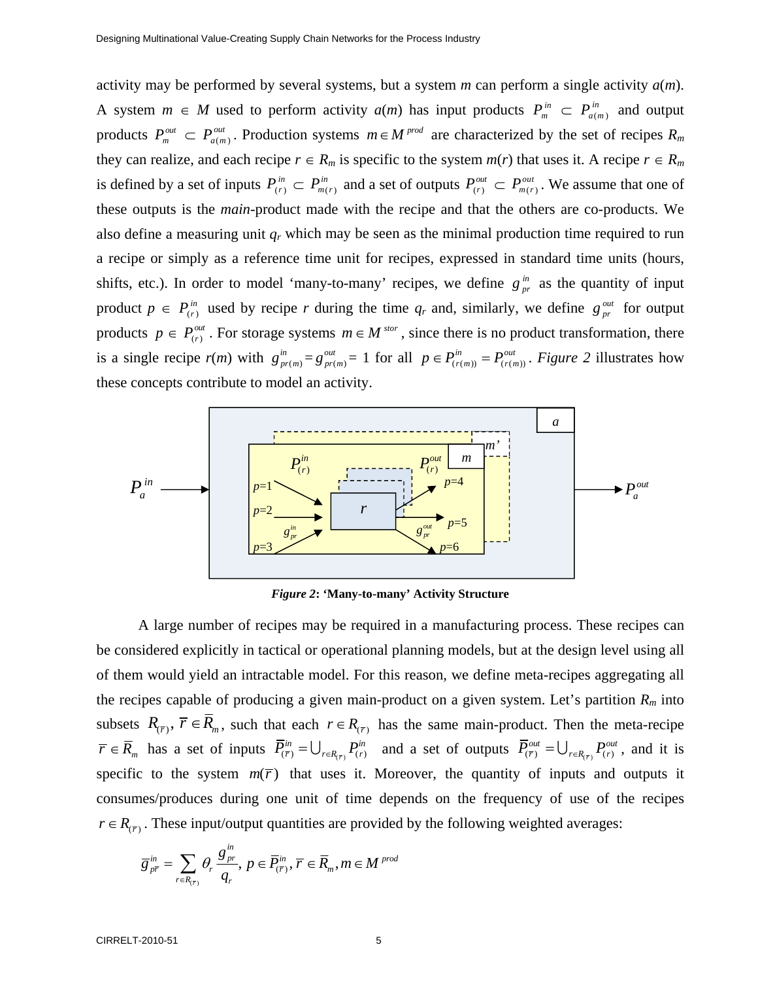activity may be performed by several systems, but a system *m* can perform a single activity *a*(*m*). A system  $m \in M$  used to perform activity  $a(m)$  has input products  $P_m^m \subset P_{a(m)}^m$  and output products  $P_m^{out} \subset P_{a(m)}^{out}$ . Production systems  $m \in M^{prod}$  are characterized by the set of recipes  $R_m$ they can realize, and each recipe  $r \in R_m$  is specific to the system  $m(r)$  that uses it. A recipe  $r \in R_m$ is defined by a set of inputs  $P_{(r)}^{in} \subset P_{m(r)}^{in}$  and a set of outputs  $P_{(r)}^{out} \subset P_{m(r)}^{out}$ . We assume that one of these outputs is the *main*-product made with the recipe and that the others are co-products. We also define a measuring unit *qr* which may be seen as the minimal production time required to run a recipe or simply as a reference time unit for recipes, expressed in standard time units (hours, shifts, etc.). In order to model 'many-to-many' recipes, we define  $g_{pr}^{in}$  as the quantity of input product  $p \in P_{(r)}^{in}$  used by recipe *r* during the time  $q_r$  and, similarly, we define  $g_{pr}^{out}$  for output products  $p \in P_{(r)}^{\text{out}}$ . For storage systems  $m \in M^{\text{stor}}$ , since there is no product transformation, there is a single recipe  $r(m)$  with  $g_{pr(m)}^m = g_{pr(m)}^{out} = 1$  for all  $p \in P_{(r(m))}^{in} = P_{(r(m))}^{out}$ . *Figure 2* illustrates how these concepts contribute to model an activity.



*Figure 2***: 'Many-to-many' Activity Structure** 

A large number of recipes may be required in a manufacturing process. These recipes can be considered explicitly in tactical or operational planning models, but at the design level using all of them would yield an intractable model. For this reason, we define meta-recipes aggregating all the recipes capable of producing a given main-product on a given system. Let's partition  $R<sub>m</sub>$  into subsets  $R_{(\bar{r})}$ ,  $\bar{r} \in \bar{R}_m$ , such that each  $r \in R_{(\bar{r})}$  has the same main-product. Then the meta-recipe  $\overline{r} \in \overline{R}_m$  has a set of inputs  $\overline{P}_{(\overline{r})}^{in} = \bigcup_{r \in R_{(\overline{r})}} P_{(r)}^{in}$  and a set of outputs  $\overline{P}_{(\overline{r})}^{out} = \bigcup_{r \in R_{(\overline{r})}} P_{(r)}^{out}$ , and it is specific to the system  $m(\bar{r})$  that uses it. Moreover, the quantity of inputs and outputs it consumes/produces during one unit of time depends on the frequency of use of the recipes  $r \in R_{(r)}$ . These input/output quantities are provided by the following weighted averages:

$$
\overline{g}_{p\overline{r}}^{in} = \sum_{r \in R_{(\overline{r})}} \theta_r \frac{g_{pr}^{in}}{q_r}, \ p \in \overline{P}_{(\overline{r})}^{in}, \ \overline{r} \in \overline{R}_m, m \in M^{prod}
$$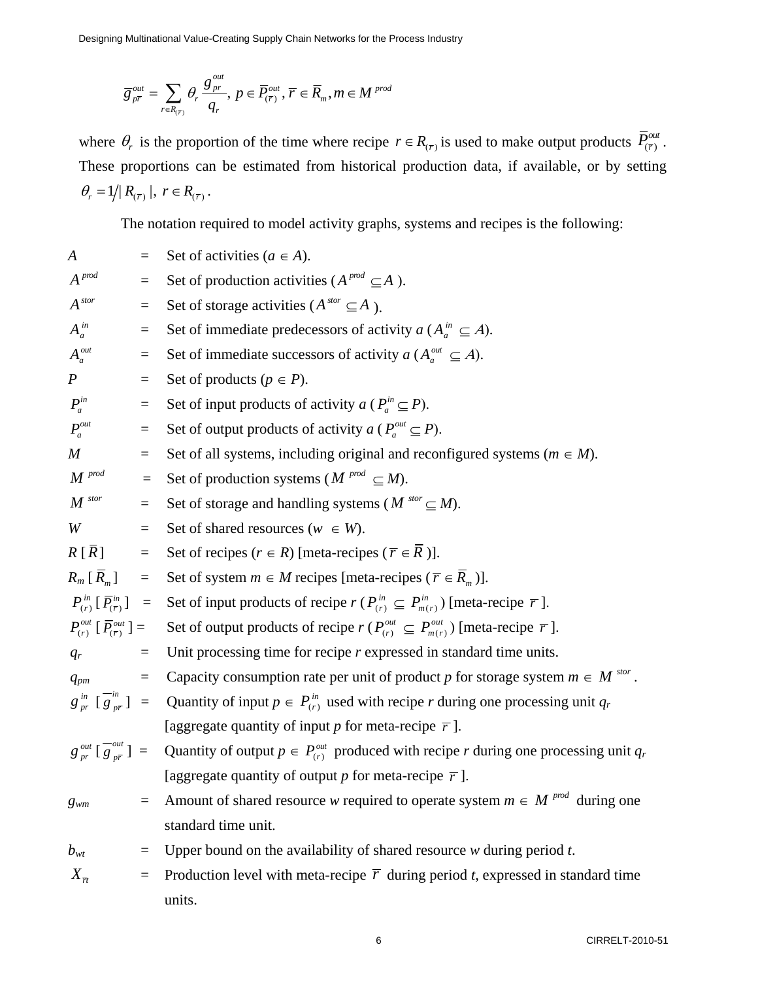$$
\overline{g}_{p\overline{r}}^{out}=\sum_{r\in R_{(\overline{r})}}\theta_r\,\frac{g_{pr}^{out}}{q_r},\,p\in \overline{P}_{(\overline{r})}^{out},\,\overline{r}\in \overline{R}_m, m\in M^{prod}
$$

where  $\theta_r$  is the proportion of the time where recipe  $r \in R_{(\bar{r})}$  is used to make output products  $\bar{P}_{(\bar{r})}^{out}$ . These proportions can be estimated from historical production data, if available, or by setting  $\theta_{\text{\tiny $r$}} = 1 \big/ \big| \, R_{\scriptscriptstyle (\overline{r}\,)} \, \big|, \,\, r \in R_{\scriptscriptstyle (\overline{r}\,)} \,.$ 

The notation required to model activity graphs, systems and recipes is the following:

| $\boldsymbol{A}$                                                 |                 | Set of activities ( $a \in A$ ).                                                                                                                                 |
|------------------------------------------------------------------|-----------------|------------------------------------------------------------------------------------------------------------------------------------------------------------------|
| $A^{p\textit{nod}}$                                              | $\equiv$        | Set of production activities ( $A^{prod} \subseteq A$ ).                                                                                                         |
| A <sup>stor</sup>                                                | $\quad \  \  =$ | Set of storage activities ( $A^{stor} \subseteq A$ ).                                                                                                            |
| $A_a^{in}$                                                       | $\equiv$        | Set of immediate predecessors of activity $a(A_a^m \subseteq A)$ .                                                                                               |
| $A^{out}_a$                                                      | $\equiv$        | Set of immediate successors of activity $a(A_a^{out} \subseteq A)$ .                                                                                             |
| $\boldsymbol{P}$                                                 | $\equiv$        | Set of products ( $p \in P$ ).                                                                                                                                   |
| $P_a^{in}$                                                       | $\equiv$        | Set of input products of activity $a (P_a^{in} \subseteq P)$ .                                                                                                   |
| $P^{\tiny{out}}_a$                                               | $\equiv$        | Set of output products of activity $a (P_a^{out} \subseteq P)$ .                                                                                                 |
| $\boldsymbol{M}$                                                 | $\equiv$        | Set of all systems, including original and reconfigured systems ( $m \in M$ ).                                                                                   |
| $M^{prod}$                                                       | $\equiv$        | Set of production systems ( $M^{prod} \subseteq M$ ).                                                                                                            |
| $\pmb{M}^{\; stor}$                                              | $\equiv$        | Set of storage and handling systems ( $M^{stor} \subseteq M$ ).                                                                                                  |
| W                                                                | $\equiv$        | Set of shared resources $(w \in W)$ .                                                                                                                            |
| $R[\bar{R}]$ =                                                   |                 | Set of recipes $(r \in R)$ [meta-recipes $(\overline{r} \in \overline{R})$ ].                                                                                    |
| $R_m\left[\,\overline{R}_m\,\right] =$                           |                 | Set of system $m \in M$ recipes [meta-recipes ( $\overline{r} \in \overline{R}_m$ )].                                                                            |
| $P_{(r)}^{in}[\,\overline{P}_{(\overline{r})}^{in}]$ =           |                 | Set of input products of recipe $r(P_{(r)}^{\text{in}} \subseteq P_{m(r)}^{\text{in}})$ [meta-recipe $\overline{r}$ ].                                           |
| $P_{(r)}^{out}$ [ $\overline{P}_{(\overline{r})}^{out}$ ] =      |                 | Set of output products of recipe $r(P_{(r)}^{\text{out}} \subseteq P_{m(r)}^{\text{out}})$ [meta-recipe $\overline{r}$ ].                                        |
| $q_r$                                                            | $\equiv$        | Unit processing time for recipe $r$ expressed in standard time units.                                                                                            |
| $q_{pm}$                                                         | $\equiv$        | Capacity consumption rate per unit of product p for storage system $m \in M^{stor}$ .                                                                            |
| $g_{pr}^{in}$ $\left[\overline{g}_{p\overline{r}}^{in}\right]$ = |                 | Quantity of input $p \in P_{(r)}^m$ used with recipe r during one processing unit $q_r$                                                                          |
|                                                                  |                 | [aggregate quantity of input p for meta-recipe $\overline{r}$ ].                                                                                                 |
|                                                                  |                 | $g_{pr}^{out}$ $\left[\frac{\partial u}{\partial p_r}\right]$ = Quantity of output $p \in P_{(r)}^{out}$ produced with recipe r during one processing unit $q_r$ |
|                                                                  |                 | [aggregate quantity of output p for meta-recipe $\overline{r}$ ].                                                                                                |
|                                                                  |                 | $g_{wm}$ = Amount of shared resource w required to operate system $m \in M^{prod}$ during one                                                                    |
|                                                                  |                 | standard time unit.                                                                                                                                              |
| $b_{\rm wt}$                                                     | $=$             | Upper bound on the availability of shared resource $w$ during period $t$ .                                                                                       |
| $X_{\overline{n}}$                                               | $=$             | Production level with meta-recipe $\overline{r}$ during period <i>t</i> , expressed in standard time                                                             |
|                                                                  |                 | units.                                                                                                                                                           |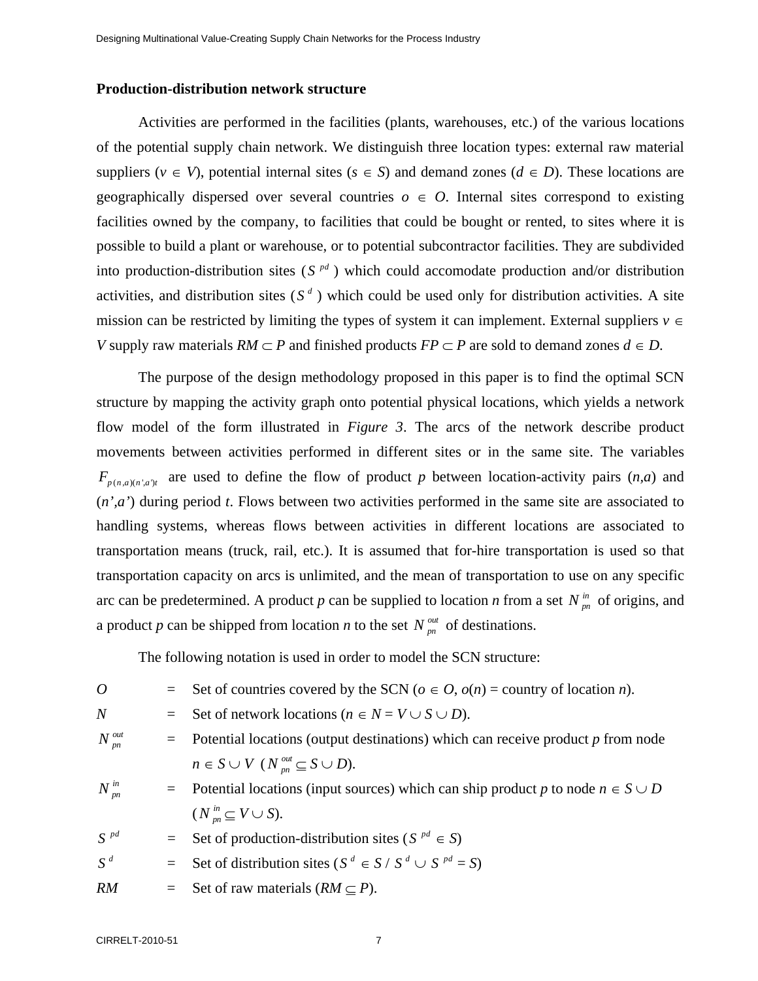#### **Production-distribution network structure**

Activities are performed in the facilities (plants, warehouses, etc.) of the various locations of the potential supply chain network. We distinguish three location types: external raw material suppliers ( $v \in V$ ), potential internal sites ( $s \in S$ ) and demand zones ( $d \in D$ ). These locations are geographically dispersed over several countries  $o \in O$ . Internal sites correspond to existing facilities owned by the company, to facilities that could be bought or rented, to sites where it is possible to build a plant or warehouse, or to potential subcontractor facilities. They are subdivided into production-distribution sites  $(S^{pd})$  which could accomodate production and/or distribution activities, and distribution sites  $(S^d)$  which could be used only for distribution activities. A site mission can be restricted by limiting the types of system it can implement. External suppliers  $v \in$ *V* supply raw materials  $RM \subset P$  and finished products  $FP \subset P$  are sold to demand zones  $d \in D$ .

The purpose of the design methodology proposed in this paper is to find the optimal SCN structure by mapping the activity graph onto potential physical locations, which yields a network flow model of the form illustrated in *Figure 3*. The arcs of the network describe product movements between activities performed in different sites or in the same site. The variables  $F_{p(n,a)(n',a')t}$  are used to define the flow of product *p* between location-activity pairs  $(n,a)$  and (*n',a'*) during period *t*. Flows between two activities performed in the same site are associated to handling systems, whereas flows between activities in different locations are associated to transportation means (truck, rail, etc.). It is assumed that for-hire transportation is used so that transportation capacity on arcs is unlimited, and the mean of transportation to use on any specific arc can be predetermined. A product *p* can be supplied to location *n* from a set  $N_{m}^{in}$  of origins, and a product *p* can be shipped from location *n* to the set  $N_{nn}^{out}$  of destinations.

The following notation is used in order to model the SCN structure:

| 0               |         | = Set of countries covered by the SCN ( $o \in O$ , $o(n)$ = country of location <i>n</i> ).         |
|-----------------|---------|------------------------------------------------------------------------------------------------------|
| N               | $=$ $-$ | Set of network locations ( $n \in N = V \cup S \cup D$ ).                                            |
| $N_{p n}^{out}$ |         | $=$ Potential locations (output destinations) which can receive product p from node                  |
|                 |         | $n \in S \cup V$ $(N^{out}_{nn} \subseteq S \cup D)$ .                                               |
| $N_{p n}^{i n}$ |         | $\blacksquare$ Potential locations (input sources) which can ship product p to node $n \in S \cup D$ |
|                 |         | $(N_{\scriptscriptstyle{pn}}^{\scriptscriptstyle{in}} \subseteq V \cup S).$                          |
| $S^{pd}$        |         | $=$ Set of production-distribution sites (S <sup>pd</sup> $\in$ S)                                   |
| $S^d$           |         | $=$ Set of distribution sites (S <sup>d</sup> $\in$ S/S <sup>d</sup> $\cup$ S <sup>pd</sup> = S)     |
| RM              |         | $=$ Set of raw materials $(RM \subseteq P)$ .                                                        |
|                 |         |                                                                                                      |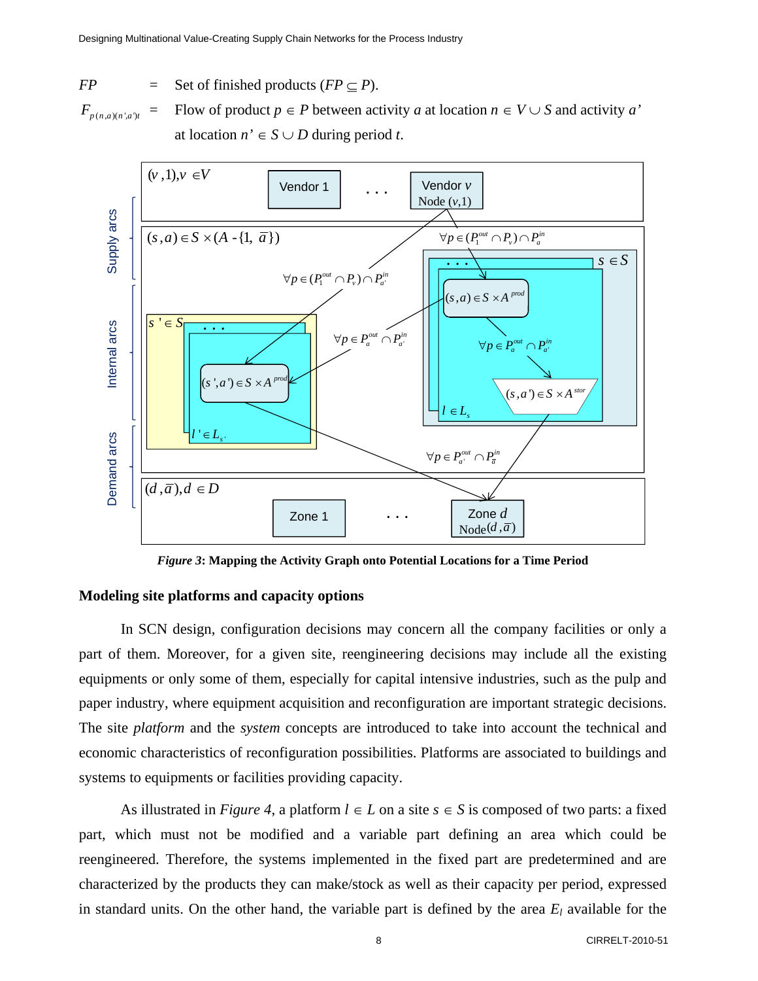$FP$ Set of finished products ( $FP \subseteq P$ ).

 $F_{p(n,a)(n',a')t} =$ Flow of product  $p \in P$  between activity *a* at location  $n \in V \cup S$  and activity *a'* at location  $n' \in S \cup D$  during period *t*.



*Figure 3***: Mapping the Activity Graph onto Potential Locations for a Time Period** 

#### **Modeling site platforms and capacity options**

In SCN design, configuration decisions may concern all the company facilities or only a part of them. Moreover, for a given site, reengineering decisions may include all the existing equipments or only some of them, especially for capital intensive industries, such as the pulp and paper industry, where equipment acquisition and reconfiguration are important strategic decisions. The site *platform* and the *system* concepts are introduced to take into account the technical and economic characteristics of reconfiguration possibilities. Platforms are associated to buildings and systems to equipments or facilities providing capacity.

As illustrated in *Figure 4*, a platform  $l \in L$  on a site  $s \in S$  is composed of two parts: a fixed part, which must not be modified and a variable part defining an area which could be reengineered. Therefore, the systems implemented in the fixed part are predetermined and are characterized by the products they can make/stock as well as their capacity per period, expressed in standard units. On the other hand, the variable part is defined by the area  $E_l$  available for the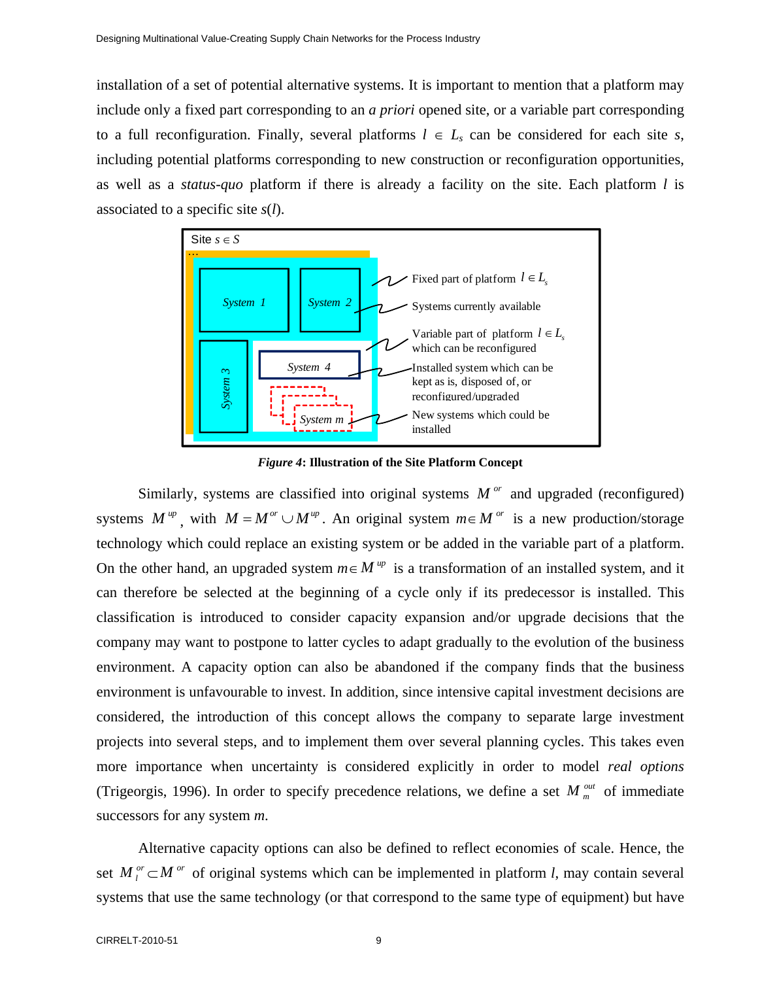installation of a set of potential alternative systems. It is important to mention that a platform may include only a fixed part corresponding to an *a priori* opened site, or a variable part corresponding to a full reconfiguration. Finally, several platforms  $l \in L_s$  can be considered for each site *s*, including potential platforms corresponding to new construction or reconfiguration opportunities, as well as a *status-quo* platform if there is already a facility on the site. Each platform *l* is associated to a specific site *s*(*l*).



*Figure 4***: Illustration of the Site Platform Concept** 

Similarly, systems are classified into original systems  $M^{or}$  and upgraded (reconfigured) systems  $M^{up}$ , with  $M = M^{or} \cup M^{up}$ . An original system  $m \in M^{or}$  is a new production/storage technology which could replace an existing system or be added in the variable part of a platform. On the other hand, an upgraded system  $m \in M^{up}$  is a transformation of an installed system, and it can therefore be selected at the beginning of a cycle only if its predecessor is installed. This classification is introduced to consider capacity expansion and/or upgrade decisions that the company may want to postpone to latter cycles to adapt gradually to the evolution of the business environment. A capacity option can also be abandoned if the company finds that the business environment is unfavourable to invest. In addition, since intensive capital investment decisions are considered, the introduction of this concept allows the company to separate large investment projects into several steps, and to implement them over several planning cycles. This takes even more importance when uncertainty is considered explicitly in order to model *real options* (Trigeorgis, 1996). In order to specify precedence relations, we define a set  $M_m^{\text{out}}$  of immediate successors for any system *m*.

Alternative capacity options can also be defined to reflect economies of scale. Hence, the set  $M_l^{or} \subset M^{or}$  of original systems which can be implemented in platform *l*, may contain several systems that use the same technology (or that correspond to the same type of equipment) but have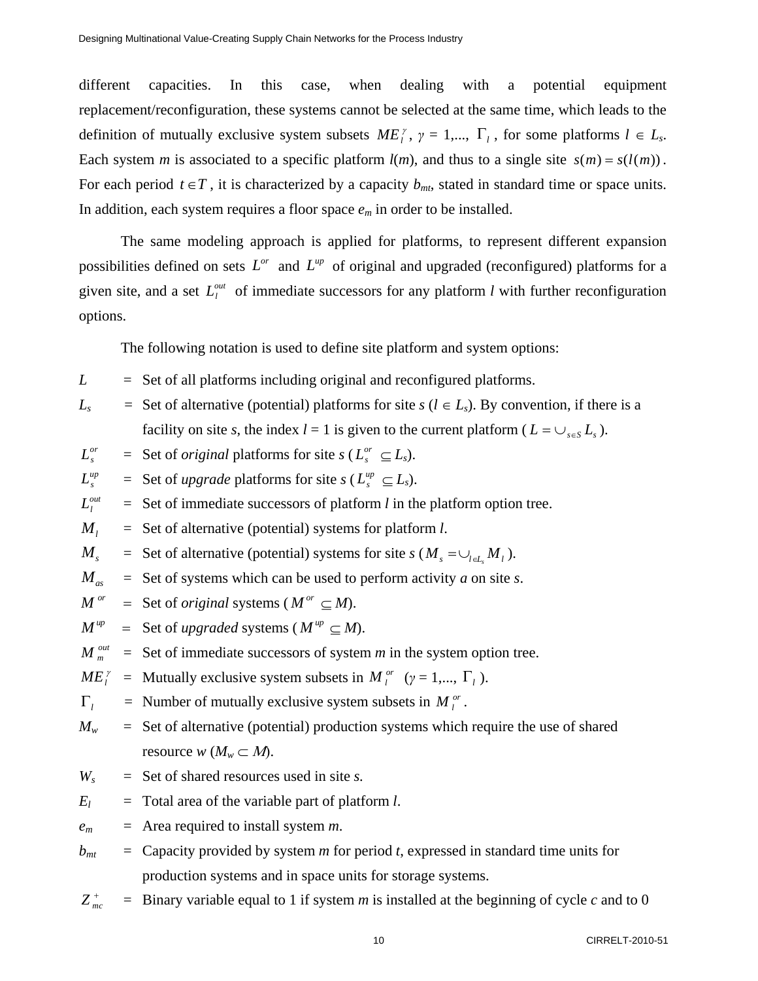different capacities. In this case, when dealing with a potential equipment replacement/reconfiguration, these systems cannot be selected at the same time, which leads to the definition of mutually exclusive system subsets  $ME_i^{\gamma}$ ,  $\gamma = 1,..., \Gamma_i$ , for some platforms  $l \in L_s$ . Each system *m* is associated to a specific platform  $l(m)$ , and thus to a single site  $s(m) = s(l(m))$ . For each period  $t \in T$ , it is characterized by a capacity  $b_{mt}$ , stated in standard time or space units. In addition, each system requires a floor space *em* in order to be installed.

The same modeling approach is applied for platforms, to represent different expansion possibilities defined on sets  $L^{or}$  and  $L^{up}$  of original and upgraded (reconfigured) platforms for a given site, and a set  $L_l^{out}$  of immediate successors for any platform *l* with further reconfiguration options.

The following notation is used to define site platform and system options:

- $L$  $=$  Set of all platforms including original and reconfigured platforms.
- $L_s$  = Set of alternative (potential) platforms for site  $s$  ( $l \in L_s$ ). By convention, if there is a facility on site *s*, the index  $l = 1$  is given to the current platform ( $L = \bigcup_{s \in S} L_s$ ).
- $L_{\rm s}^{or}$  $=$  Set of *original* platforms for site  $s(L_s^{or} \subseteq L_s)$ .
- $L_{\rm s}^{up}$  $=$  Set of *upgrade* platforms for site *s* ( $L_s^{up} \subseteq L_s$ ).

 $L_l^{out}$ Set of immediate successors of platform *l* in the platform option tree.

- $M<sub>i</sub>$  $=$  Set of alternative (potential) systems for platform *l*.
- $M_{\rm s}$ Set of alternative (potential) systems for site  $s$  ( $M_s = \bigcup_{l \in L} M_l$ ).
- $M_{as}$  $=$  Set of systems which can be used to perform activity *a* on site *s*.
- $M^{or}$  $=$  Set of *original* systems ( $M^{or} \subseteq M$ ).
- $M^{up}$  $=$  Set of *upgraded* systems ( $M^{up} \subseteq M$ ).
- $M_m^{out}$  $=$  Set of immediate successors of system  $m$  in the system option tree.

$$
ME_i^{\gamma}
$$
 = Mutually exclusive system subsets in  $M_i^{or}$  ( $\gamma = 1,..., \Gamma_i$ ).

- $\Gamma_l$  = Number of mutually exclusive system subsets in  $M_l^{or}$ .
- $M_w$ Set of alternative (potential) production systems which require the use of shared resource  $w$  ( $M_w \subset M$ ).
- $W_{s}$  $=$  Set of shared resources used in site *s*.
- $E_l$  = Total area of the variable part of platform *l*.
- *em* = Area required to install system *m*.
- $b_{mt}$ Capacity provided by system *m* for period *t*, expressed in standard time units for production systems and in space units for storage systems.
- $Z_{mc}^{+}$  $\frac{1}{n_c}$  = Binary variable equal to 1 if system *m* is installed at the beginning of cycle *c* and to 0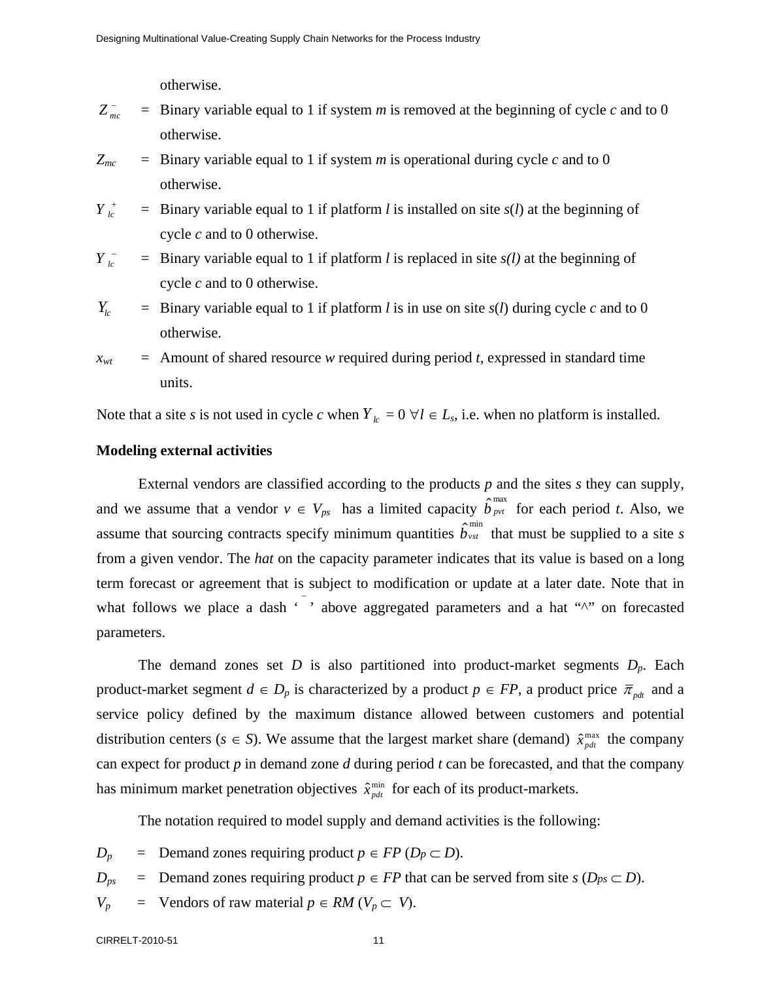otherwise.

- $Z_{mc}^-$  =  $=$  Binary variable equal to 1 if system *m* is removed at the beginning of cycle *c* and to 0 otherwise.
- $Z_{mc}$  $=$  Binary variable equal to 1 if system *m* is operational during cycle *c* and to 0 otherwise.
- $Y_L^+$  $\frac{1}{s}$  = Binary variable equal to 1 if platform *l* is installed on site *s*(*l*) at the beginning of cycle *c* and to 0 otherwise.

$$
Y_{lc}^-
$$
 = Binary variable equal to 1 if platform *l* is replaced in site *s*(*l*) at the beginning of cycle *c* and to 0 otherwise.

 $Y_{lc}$  $=$  Binary variable equal to 1 if platform *l* is in use on site  $s(l)$  during cycle *c* and to 0 otherwise.

 $x_{wt}$ Amount of shared resource *w* required during period *t*, expressed in standard time units.

Note that a site *s* is not used in cycle *c* when  $Y_k = 0 \ \forall l \in L_s$ , i.e. when no platform is installed.

#### **Modeling external activities**

External vendors are classified according to the products *p* and the sites *s* they can supply, and we assume that a vendor  $v \in V_{ps}$  has a limited capacity  $\hat{b}_{prt}^{\text{max}}$  for each period *t*. Also, we assume that sourcing contracts specify minimum quantities  $\hat{b}_{\text{vst}}^{\text{min}}$  that must be supplied to a site *s* from a given vendor. The *hat* on the capacity parameter indicates that its value is based on a long term forecast or agreement that is subject to modification or update at a later date. Note that in what follows we place a dash  $\cdot$ , above aggregated parameters and a hat " $\cdot$ " on forecasted parameters.

The demand zones set *D* is also partitioned into product-market segments *Dp*. Each product-market segment  $d \in D_p$  is characterized by a product  $p \in FP$ , a product price  $\overline{\pi}_{pd}$  and a service policy defined by the maximum distance allowed between customers and potential distribution centers ( $s \in S$ ). We assume that the largest market share (demand)  $\hat{x}_{ndt}^{\text{max}}$  the company can expect for product *p* in demand zone *d* during period *t* can be forecasted, and that the company has minimum market penetration objectives  $\hat{x}_{pdt}^{\min}$  for each of its product-markets.

The notation required to model supply and demand activities is the following:

- $D_p$ = Demand zones requiring product *p* ∈ *FP* ( $D_p$  ⊂ *D*).
- $D_{ps}$ = Demand zones requiring product *p* ∈ *FP* that can be served from site *s* (*D<sub>ps</sub>* ⊂ *D*).
- $V_p$  $\equiv$  Vendors of raw material *p* ∈ *RM* (*V<sub>p</sub>* ⊂ *V*).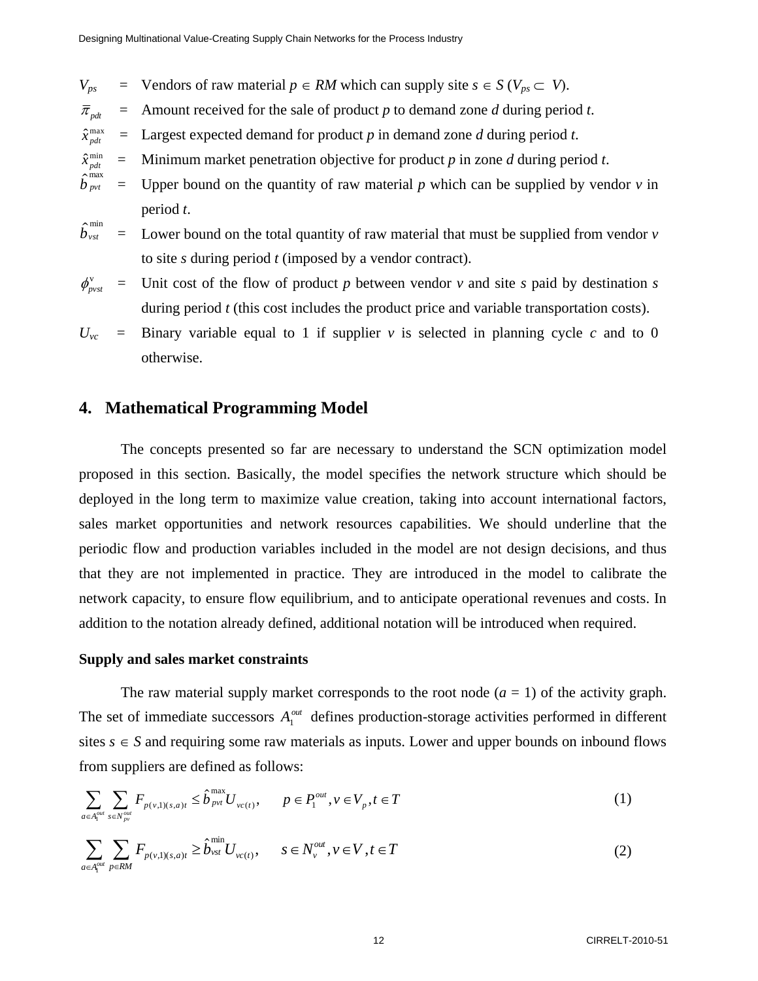$V_{ps}$  $\equiv$  Vendors of raw material *p* ∈ *RM* which can supply site *s* ∈ *S* ( $V_{ps}$  ⊂ *V*).

- $\overline{\pi}_{\scriptscriptstyle{pdt}}$ Amount received for the sale of product *p* to demand zone *d* during period *t*.
- $\hat{x}^{\text{max}}_{pdt}$  = Largest expected demand for product *p* in demand zone *d* during period *t*.
- $\hat{x}^{\min}_{pdt} =$ Minimum market penetration objective for product *p* in zone *d* during period *t*.
- $\hat{b}^{\text{max}}_{\text{pvt}} =$ Upper bound on the quantity of raw material  $p$  which can be supplied by vendor  $\nu$  in period *t*.
- $\begin{array}{cc} \widehat{b}^{\min}_{vst} &= \end{array}$ Lower bound on the total quantity of raw material that must be supplied from vendor *v* to site *s* during period *t* (imposed by a vendor contract).
- $\phi_{\scriptscriptstyle \!\! \rm \scriptscriptstyle p_vst}^{\rm v}$  = Unit cost of the flow of product *p* between vendor *v* and site *s* paid by destination *s* during period *t* (this cost includes the product price and variable transportation costs).
- $U_{\nu c}$  = Binary variable equal to 1 if supplier  $\nu$  is selected in planning cycle  $c$  and to 0 otherwise.

### **4. Mathematical Programming Model**

The concepts presented so far are necessary to understand the SCN optimization model proposed in this section. Basically, the model specifies the network structure which should be deployed in the long term to maximize value creation, taking into account international factors, sales market opportunities and network resources capabilities. We should underline that the periodic flow and production variables included in the model are not design decisions, and thus that they are not implemented in practice. They are introduced in the model to calibrate the network capacity, to ensure flow equilibrium, and to anticipate operational revenues and costs. In addition to the notation already defined, additional notation will be introduced when required.

#### **Supply and sales market constraints**

The raw material supply market corresponds to the root node  $(a = 1)$  of the activity graph. The set of immediate successors  $A_1^{out}$  defines production-storage activities performed in different sites  $s \in S$  and requiring some raw materials as inputs. Lower and upper bounds on inbound flows from suppliers are defined as follows:

$$
\sum_{a \in A_1^{out}} \sum_{s \in N_{pv}^{out}} F_{p(v,1)(s,a)t} \leq \hat{b}_{pvt}^{\max} U_{vc(t)}, \qquad p \in P_1^{out}, v \in V_p, t \in T
$$
 (1)

$$
\sum_{a \in A_i^{out}} \sum_{p \in RM} F_{p(v,1)(s,a)t} \ge \hat{b}_{vst}^{min} U_{vc(t)}, \qquad s \in N_v^{out}, v \in V, t \in T
$$
\n(2)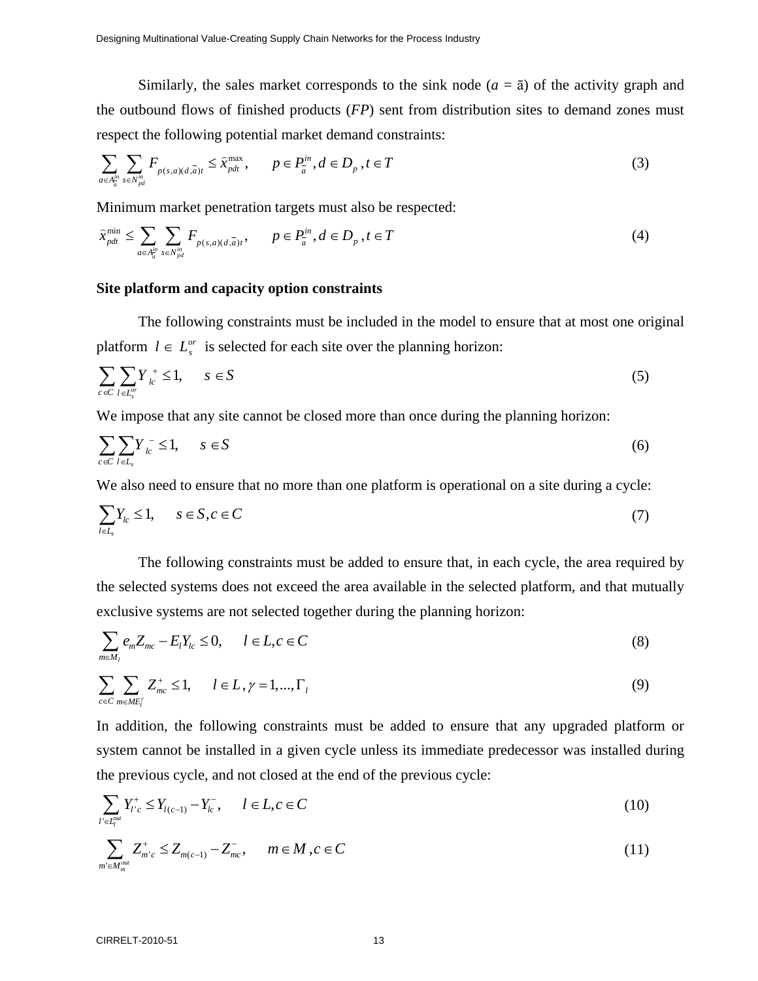Similarly, the sales market corresponds to the sink node  $(a = \bar{a})$  of the activity graph and the outbound flows of finished products (*FP*) sent from distribution sites to demand zones must respect the following potential market demand constraints:

$$
\sum_{a \in A_a^{\text{in}}} \sum_{s \in N_{pd}^{\text{in}}} F_{p(s,a)(d,\overline{a})t} \leq \widehat{x}_{pdt}^{\max}, \qquad p \in P_a^{\text{in}}, d \in D_p, t \in T
$$
\n
$$
(3)
$$

Minimum market penetration targets must also be respected:

$$
\widehat{x}_{\text{pdt}}^{\min} \le \sum_{a \in A_a^{\text{in}}} \sum_{s \in N_{\text{pdt}}^{\text{in}}} F_{p(s,a)(d,\overline{a})t}, \qquad p \in P_a^{\text{in}}, d \in D_p, t \in T
$$
\n
$$
\tag{4}
$$

#### **Site platform and capacity option constraints**

The following constraints must be included in the model to ensure that at most one original platform  $l \in L_s^{or}$  is selected for each site over the planning horizon:

$$
\sum_{c \in C} \sum_{l \in L_s^{\sigma}} Y_{lc}^+ \le 1, \qquad s \in S \tag{5}
$$

We impose that any site cannot be closed more than once during the planning horizon:

$$
\sum_{c \in C} \sum_{l \in L_s} Y_{lc}^- \le 1, \qquad s \in S \tag{6}
$$

We also need to ensure that no more than one platform is operational on a site during a cycle:

$$
\sum_{l \in L_s} Y_{lc} \le 1, \qquad s \in S, c \in C \tag{7}
$$

The following constraints must be added to ensure that, in each cycle, the area required by the selected systems does not exceed the area available in the selected platform, and that mutually exclusive systems are not selected together during the planning horizon:

$$
\sum_{m \in M_l} e_m Z_{mc} - E_l Y_{lc} \le 0, \qquad l \in L, c \in C
$$
\n(8)

$$
\sum_{c \in C} \sum_{m \in ME_i^{\gamma}} Z_{mc}^+ \le 1, \qquad l \in L, \gamma = 1, \dots, \Gamma_l
$$
\n
$$
(9)
$$

In addition, the following constraints must be added to ensure that any upgraded platform or system cannot be installed in a given cycle unless its immediate predecessor was installed during the previous cycle, and not closed at the end of the previous cycle:

$$
\sum_{l' \in I_q^{out}} Y_{l'c}^+ \le Y_{l(c-1)} - Y_{lc}^-, \qquad l \in L, c \in C
$$
\n(10)

$$
\sum_{m' \in M_m^{out}} Z_{m'c}^+ \le Z_{m(c-1)} - Z_{mc}^-, \qquad m \in M, c \in C
$$
\n(11)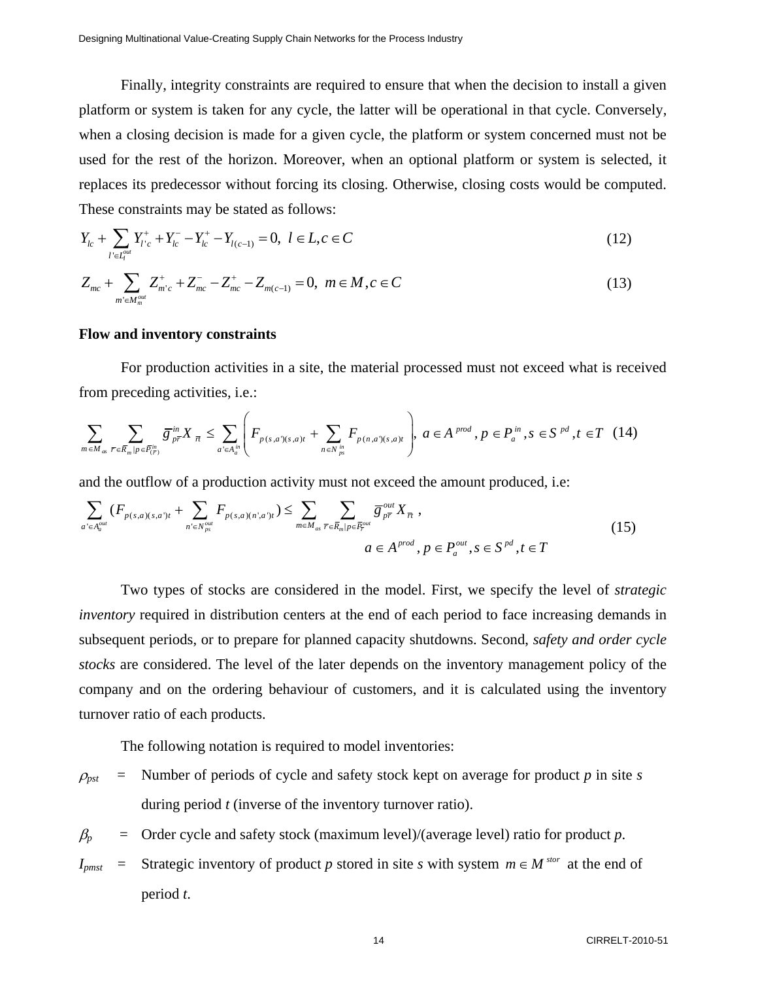Finally, integrity constraints are required to ensure that when the decision to install a given platform or system is taken for any cycle, the latter will be operational in that cycle. Conversely, when a closing decision is made for a given cycle, the platform or system concerned must not be used for the rest of the horizon. Moreover, when an optional platform or system is selected, it replaces its predecessor without forcing its closing. Otherwise, closing costs would be computed. These constraints may be stated as follows:

$$
Y_{lc} + \sum_{l' \in L_l^{out}} Y_{l'c}^+ + Y_{lc}^- - Y_{lc}^+ - Y_{l(c-1)} = 0, \ l \in L, c \in C
$$
\n(12)

$$
Z_{mc} + \sum_{m' \in M_{m}^{out}} Z_{m'c}^{+} + Z_{mc}^{-} - Z_{mc}^{+} - Z_{m(c-1)} = 0, \ m \in M, c \in C
$$
\n(13)

#### **Flow and inventory constraints**

For production activities in a site, the material processed must not exceed what is received from preceding activities, i.e.:

$$
\sum_{m \in M_{\infty}} \sum_{\overline{r} \in \overline{R}_{m} | p \in \overline{P}_{(\overline{r})}^{\text{in}}} \overline{g}^{\text{in}}_{p\overline{r}} X_{\overline{n}} \le \sum_{a' \in A_{a}^{\text{in}}} \left( F_{p(s,a')(s,a)t} + \sum_{n \in N_{ps}^{\text{in}}} F_{p(n,a')(s,a)t} \right), a \in A^{prod}, p \in P_{a}^{\text{in}}, s \in S^{pd}, t \in T \quad (14)
$$

and the outflow of a production activity must not exceed the amount produced, i.e:

$$
\sum_{a' \in A_a^{out}} (F_{p(s,a)(s,a')t} + \sum_{n' \in N_{ps}^{out}} F_{p(s,a)(n',a')t}) \le \sum_{m \in M_{as}} \sum_{\overline{r} \in \overline{R}_m | p \in \overline{P}_r^{out}} \overline{g}_{p\overline{r}}^{out} X_{\overline{n}},
$$
\n
$$
a \in A^{prod}, p \in P_a^{out}, s \in S^{pd}, t \in T
$$
\n(15)

Two types of stocks are considered in the model. First, we specify the level of *strategic inventory* required in distribution centers at the end of each period to face increasing demands in subsequent periods, or to prepare for planned capacity shutdowns. Second, *safety and order cycle stocks* are considered. The level of the later depends on the inventory management policy of the company and on the ordering behaviour of customers, and it is calculated using the inventory turnover ratio of each products.

The following notation is required to model inventories:

 $\rho_{pst}$  = Number of periods of cycle and safety stock kept on average for product *p* in site *s* during period *t* (inverse of the inventory turnover ratio).

 $\beta_p$  = Order cycle and safety stock (maximum level)/(average level) ratio for product *p*.

 $I_{pmst}$  = Strategic inventory of product *p* stored in site *s* with system  $m \in M^{stor}$  at the end of period *t*.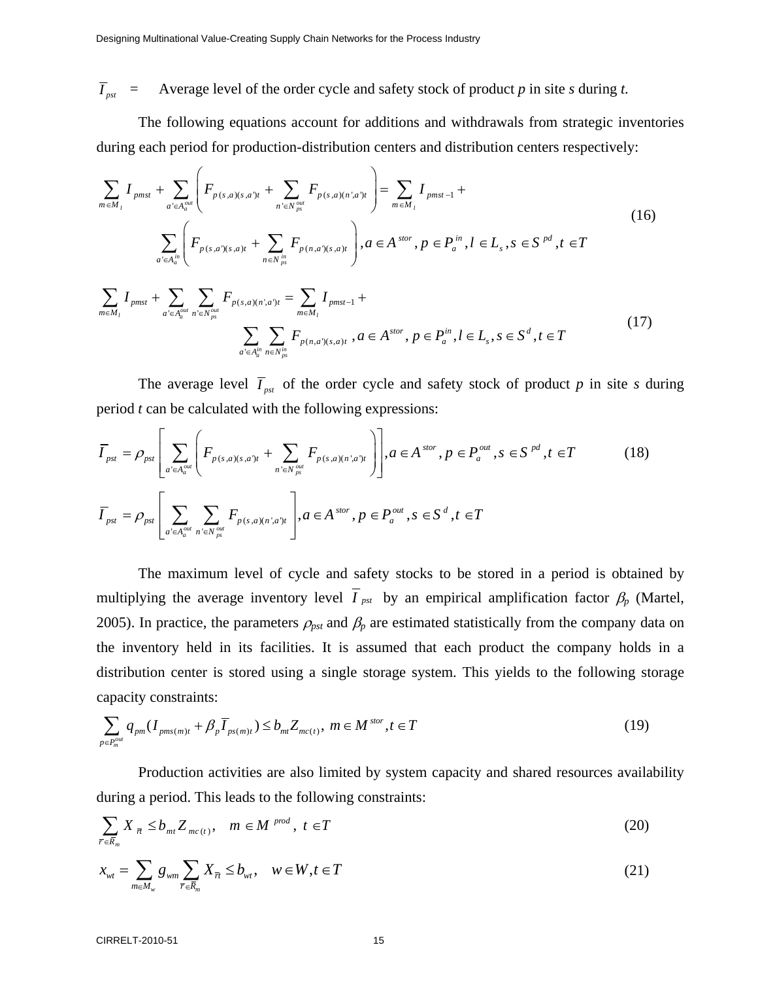$\overline{I}_{pst}$  = Average level of the order cycle and safety stock of product *p* in site *s* during *t*.

The following equations account for additions and withdrawals from strategic inventories during each period for production-distribution centers and distribution centers respectively:

$$
\sum_{m \in M_{l}} I_{pms} + \sum_{a' \in A_{a}^{out}} \left( F_{p(s,a)(s,a')t} + \sum_{n' \in N_{ps}^{out}} F_{p(s,a)(n',a')t} \right) = \sum_{m \in M_{l}} I_{pmst-1} + \sum_{a' \in A_{a}^{in}} \left( F_{p(s,a')(s,a)t} + \sum_{n \in N_{ps}^{in}} F_{p(n,a')(s,a)t} \right), a \in A^{stor}, p \in P_{a}^{in}, l \in L_{s}, s \in S^{pd}, t \in T
$$
\n(16)

$$
\sum_{m \in M_{l}} I_{pmst} + \sum_{a' \in A_{a}^{out}} \sum_{n' \in N_{ps}^{out}} F_{p(s,a)(n',a')t} = \sum_{m \in M_{l}} I_{pmst-1} + \sum_{a' \in A_{a}^{in}} \sum_{n \in N_{ps}^{in}} F_{p(n,a')(s,a)t}, a \in A^{stor}, p \in P_{a}^{in}, l \in L_{s}, s \in S^{d}, t \in T
$$
\n(17)

The average level  $\overline{I}_{\text{pst}}$  of the order cycle and safety stock of product *p* in site *s* during period *t* can be calculated with the following expressions:

$$
\overline{I}_{\text{pst}} = \rho_{\text{pst}} \left[ \sum_{a' \in A_a^{\text{out}}} \left( F_{p(s,a)(s,a')t} + \sum_{n' \in N_{\text{pst}}^{\text{out}}} F_{p(s,a)(n',a')t} \right) \right], a \in A^{\text{stor}}, p \in P_a^{\text{out}}, s \in S^{\text{pd}}, t \in T
$$
\n
$$
\overline{I}_{\text{pst}} = \rho_{\text{pst}} \left[ \sum_{a' \in A_a^{\text{out}}} \sum_{n' \in N_{\text{pst}}^{\text{out}}} F_{p(s,a)(n',a')t} \right], a \in A^{\text{stor}}, p \in P_a^{\text{out}}, s \in S^{\text{d}}, t \in T
$$
\n(18)

The maximum level of cycle and safety stocks to be stored in a period is obtained by multiplying the average inventory level  $\overline{I}_{pst}$  by an empirical amplification factor  $\beta_p$  (Martel, 2005). In practice, the parameters  $\rho_{\text{pst}}$  and  $\beta_{\text{p}}$  are estimated statistically from the company data on the inventory held in its facilities. It is assumed that each product the company holds in a distribution center is stored using a single storage system. This yields to the following storage capacity constraints:

$$
\sum_{p \in P_m^{out}} q_{pm}(I_{pms(m)t} + \beta_p \overline{I}_{ps(m)t}) \le b_{mt} Z_{mc(t)}, \ m \in M^{stor}, t \in T
$$
\n(19)

Production activities are also limited by system capacity and shared resources availability during a period. This leads to the following constraints:

$$
\sum_{\overline{r}\in\overline{R}_m} X_{\overline{n}} \le b_{m} Z_{mc(t)}, \quad m \in M^{prod}, \ t \in T
$$
 (20)

$$
x_{wt} = \sum_{m \in M_w} g_{wm} \sum_{\overline{r} \in \overline{R}_m} X_{\overline{r}} \le b_{wt}, \quad w \in W, t \in T
$$
\n(21)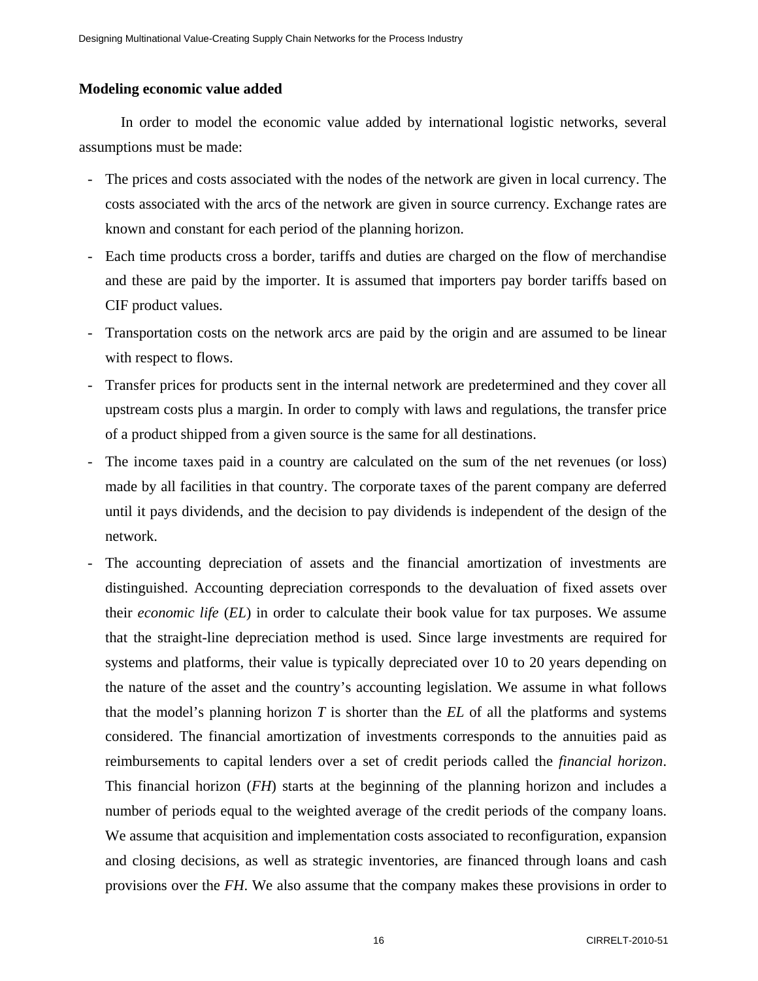### **Modeling economic value added**

In order to model the economic value added by international logistic networks, several assumptions must be made:

- The prices and costs associated with the nodes of the network are given in local currency. The costs associated with the arcs of the network are given in source currency. Exchange rates are known and constant for each period of the planning horizon.
- Each time products cross a border, tariffs and duties are charged on the flow of merchandise and these are paid by the importer. It is assumed that importers pay border tariffs based on CIF product values.
- Transportation costs on the network arcs are paid by the origin and are assumed to be linear with respect to flows.
- Transfer prices for products sent in the internal network are predetermined and they cover all upstream costs plus a margin. In order to comply with laws and regulations, the transfer price of a product shipped from a given source is the same for all destinations.
- The income taxes paid in a country are calculated on the sum of the net revenues (or loss) made by all facilities in that country. The corporate taxes of the parent company are deferred until it pays dividends, and the decision to pay dividends is independent of the design of the network.
- The accounting depreciation of assets and the financial amortization of investments are distinguished. Accounting depreciation corresponds to the devaluation of fixed assets over their *economic life* (*EL*) in order to calculate their book value for tax purposes. We assume that the straight-line depreciation method is used. Since large investments are required for systems and platforms, their value is typically depreciated over 10 to 20 years depending on the nature of the asset and the country's accounting legislation. We assume in what follows that the model's planning horizon *T* is shorter than the *EL* of all the platforms and systems considered. The financial amortization of investments corresponds to the annuities paid as reimbursements to capital lenders over a set of credit periods called the *financial horizon*. This financial horizon (*FH*) starts at the beginning of the planning horizon and includes a number of periods equal to the weighted average of the credit periods of the company loans. We assume that acquisition and implementation costs associated to reconfiguration, expansion and closing decisions, as well as strategic inventories, are financed through loans and cash provisions over the *FH*. We also assume that the company makes these provisions in order to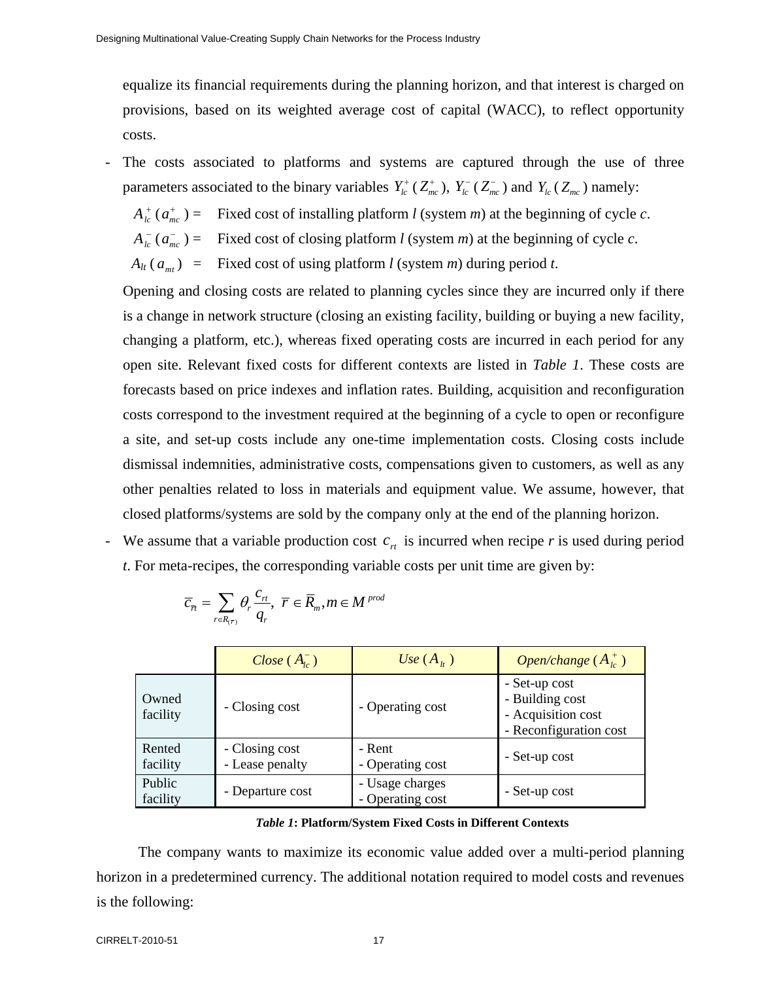equalize its financial requirements during the planning horizon, and that interest is charged on provisions, based on its weighted average cost of capital (WACC), to reflect opportunity costs.

- The costs associated to platforms and systems are captured through the use of three parameters associated to the binary variables  $Y^+_{lc}(Z^+_{mc})$ ,  $Y^-_{lc}(Z^-_{mc})$  and  $Y_{lc}(Z^-_{mc})$  namely:

 $A<sub>lc</sub><sup>+</sup>$  ( $a<sub>mc</sub><sup>+</sup>$ ) = Fixed cost of installing platform *l* (system *m*) at the beginning of cycle *c*.

 $A_{ic}^-(a_{mc}^-)$  = Fixed cost of closing platform *l* (system *m*) at the beginning of cycle *c*.

 $A_{lt}(a_{mt})$  = Fixed cost of using platform *l* (system *m*) during period *t*.

Opening and closing costs are related to planning cycles since they are incurred only if there is a change in network structure (closing an existing facility, building or buying a new facility, changing a platform, etc.), whereas fixed operating costs are incurred in each period for any open site. Relevant fixed costs for different contexts are listed in *Table 1*. These costs are forecasts based on price indexes and inflation rates. Building, acquisition and reconfiguration costs correspond to the investment required at the beginning of a cycle to open or reconfigure a site, and set-up costs include any one-time implementation costs. Closing costs include dismissal indemnities, administrative costs, compensations given to customers, as well as any other penalties related to loss in materials and equipment value. We assume, however, that closed platforms/systems are sold by the company only at the end of the planning horizon.

- We assume that a variable production cost  $c<sub>rt</sub>$  is incurred when recipe  $r$  is used during period *t*. For meta-recipes, the corresponding variable costs per unit time are given by:

*Close* ( *Alc* <sup>−</sup> ) *Use* ( *Alt* ) *Open/change* ( *Alc* <sup>+</sup> ) Owned facility - Closing cost - Operating cost - Set-up cost - Building cost - Acquisition cost - Reconfiguration cost Rented facility - Closing cost - Lease penalty - Rent - Operating cost - Set-up cost Public facility - Departure cost - Usage charges - Operating cost - Set-up cost

$$
\overline{c}_{\overline{n}} = \sum_{r \in R_{(\overline{r})}} \theta_r \frac{c_{r\overline{r}}}{q_r}, \ \ \overline{r} \in \overline{R}_m, m \in M^{prod}
$$

#### *Table 1***: Platform/System Fixed Costs in Different Contexts**

The company wants to maximize its economic value added over a multi-period planning horizon in a predetermined currency. The additional notation required to model costs and revenues is the following: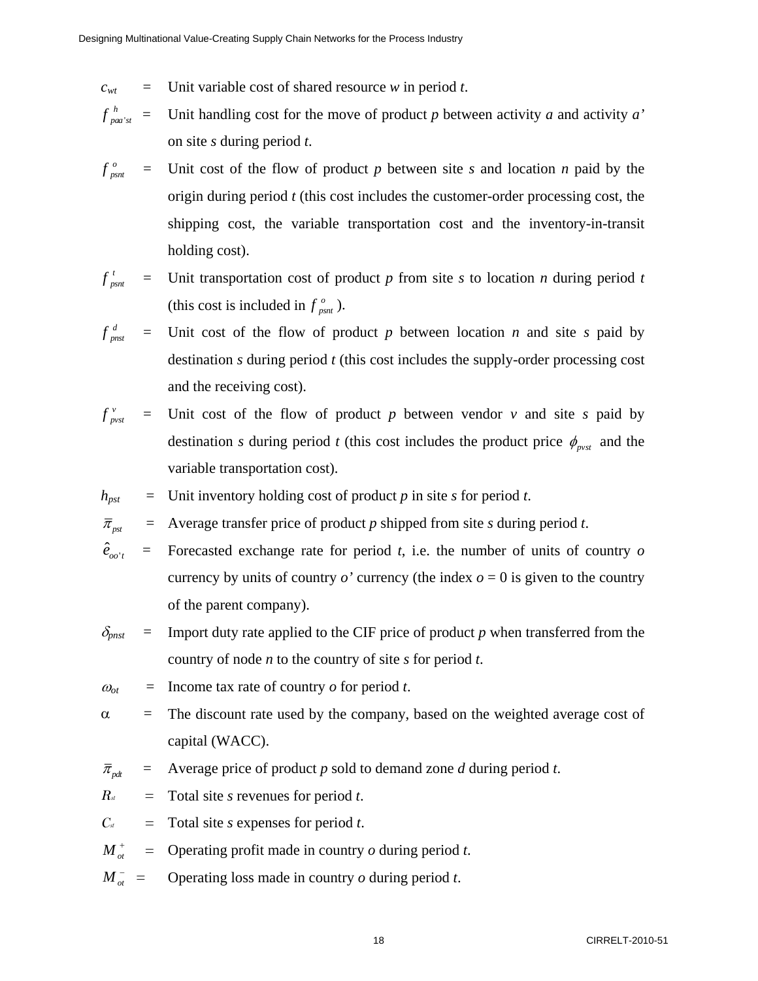- $c_{wt}$  = Unit variable cost of shared resource *w* in period *t*.
- $f_{paa'st}^h$  = Unit handling cost for the move of product *p* between activity *a* and activity *a'* on site *s* during period *t*.
- $f_{psnt}^o$  = Unit cost of the flow of product *p* between site *s* and location *n* paid by the origin during period *t* (this cost includes the customer-order processing cost, the shipping cost, the variable transportation cost and the inventory-in-transit holding cost).
- $f_{psnt}^{t}$  = Unit transportation cost of product *p* from site *s* to location *n* during period *t* (this cost is included in  $f_{psnt}^o$ ).
- $f_{pnst}^d$  = Unit cost of the flow of product  $p$  between location  $n$  and site  $s$  paid by destination *s* during period *t* (this cost includes the supply-order processing cost and the receiving cost).
- $f_{pvst}^v$  = Unit cost of the flow of product  $p$  between vendor  $v$  and site  $s$  paid by destination *s* during period *t* (this cost includes the product price  $\phi_{\text{avst}}$  and the variable transportation cost).
- $h_{pst}$  = Unit inventory holding cost of product *p* in site *s* for period *t*.

 $\overline{\pi}_{pst}$  = Average transfer price of product *p* shipped from site *s* during period *t*.

- $\hat{e}_{_{oo't}}$  = Forecasted exchange rate for period *t*, i.e. the number of units of country *o* currency by units of country  $o'$  currency (the index  $o = 0$  is given to the country of the parent company).
- $\delta_{pnst}$  = Import duty rate applied to the CIF price of product *p* when transferred from the country of node *n* to the country of site *s* for period *t*.
- $\omega_{\alpha t}$  $\equiv$  Income tax rate of country *o* for period *t*.
- α = The discount rate used by the company, based on the weighted average cost of capital (WACC).
- $\overline{\pi}_{ndt}$  = Average price of product *p* sold to demand zone *d* during period *t*.
- $R_{st}$  = Total site *s* revenues for period *t*.
- $C_{st}$  = Total site *s* expenses for period *t*.
- $M_{\alpha t}^+$  $=$ Operating profit made in country *o* during period *t*.
- $M_{\alpha t}^{-}$  $=$ Operating loss made in country *o* during period *t*.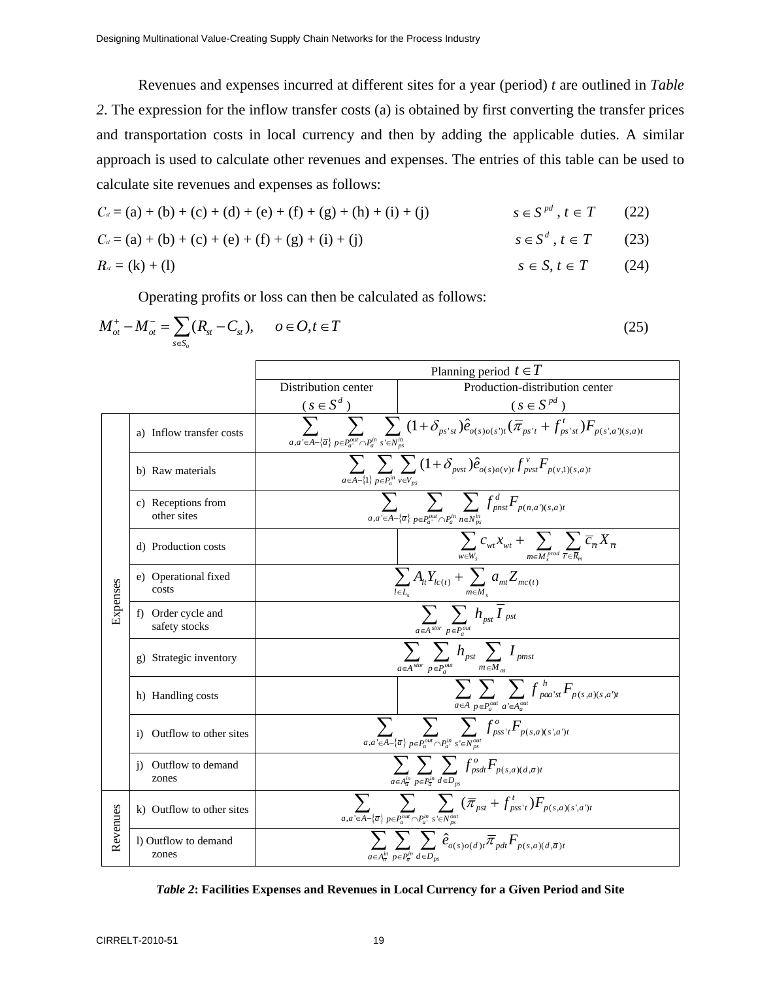Revenues and expenses incurred at different sites for a year (period) *t* are outlined in *Table 2*. The expression for the inflow transfer costs (a) is obtained by first converting the transfer prices and transportation costs in local currency and then by adding the applicable duties. A similar approach is used to calculate other revenues and expenses. The entries of this table can be used to calculate site revenues and expenses as follows:

$$
C_{d} = (a) + (b) + (c) + (d) + (e) + (f) + (g) + (h) + (i) + (j)
$$
\n
$$
s \in S^{pd}, t \in T
$$
\n(22)\n
$$
C_{d} = (a) + (b) + (c) + (e) + (f) + (g) + (i) + (j)
$$
\n
$$
s \in S^{d}, t \in T
$$
\n(23)\n
$$
R_{d} = (k) + (l)
$$
\n
$$
s \in S, t \in T
$$
\n(24)

Operating profits or loss can then be calculated as follows:

|          | $M_{ot}^+ - M_{ot}^- = \sum_{s \in S_o} (R_{st} - C_{st}), \quad o \in O, t \in T$ |                                                                                                                                                                                           | (25)                                                                                                                                                                                                |  |  |  |  |
|----------|------------------------------------------------------------------------------------|-------------------------------------------------------------------------------------------------------------------------------------------------------------------------------------------|-----------------------------------------------------------------------------------------------------------------------------------------------------------------------------------------------------|--|--|--|--|
|          |                                                                                    | Planning period $t \in T$                                                                                                                                                                 |                                                                                                                                                                                                     |  |  |  |  |
|          |                                                                                    | Distribution center                                                                                                                                                                       | Production-distribution center                                                                                                                                                                      |  |  |  |  |
|          |                                                                                    | $(s \in S^d)$                                                                                                                                                                             | $(s \in S^{pd})$                                                                                                                                                                                    |  |  |  |  |
|          | a) Inflow transfer costs                                                           |                                                                                                                                                                                           | $\sum_{a,a'\in A-\{\overline{a}\}}\overline{\sum_{p\in P_a^{out}\cap P_a^{in}}\sum_{s'\in N_{ps}^{in}}(1+\delta_{ps'st})\hat{e}_{o(s)o(s')t}(\overline{\pi}_{ps't}+f_{ps'st}^t)F_{p(s',a')(s,a)t}}$ |  |  |  |  |
|          | b) Raw materials                                                                   |                                                                                                                                                                                           | $\sum_{a\in A-\{1\}}\sum_{p\in P_a^{in}}\sum_{v\in V_{ps}}(1+\delta_{pvst})\hat{e}_{o(s)o(v)t}f_{pvst}^vF_{p(v,1)(s,a)t}$                                                                           |  |  |  |  |
|          | c) Receptions from<br>other sites                                                  | $\sum_{a, a' \in A - \{\overline{a}\}} \sum_{p \in P^{out}_{a} \cap P^{in}_a} \sum_{n \in N^{in}_{ps}} f^d_{p n s t} F_{p(n,a')(s,a)t}$                                                   |                                                                                                                                                                                                     |  |  |  |  |
|          | d) Production costs                                                                |                                                                                                                                                                                           | $\sum_{w \in W_s} c_{w t} x_{w t} + \sum_{m \in M_s^{prod}} \sum_{\overline{r} \in \overline{R}_m} \overline{c}_{\overline{r} t} X_{\overline{r} t}$                                                |  |  |  |  |
| Expenses | e) Operational fixed<br>costs                                                      | $\frac{\sum\limits_{l\in L_s}A_{lt}Y_{lc(t)}+\sum\limits_{m\in M_s}a_{mt}Z_{mc(t)}}{\sum\limits_{\sum} \sum\limits_{h_{pst}}\overline{I}_{pst}}$                                          |                                                                                                                                                                                                     |  |  |  |  |
|          | f) Order cycle and<br>safety stocks                                                |                                                                                                                                                                                           | $a \in A$ <sup>stor</sup> $p \in P_a^{out}$                                                                                                                                                         |  |  |  |  |
|          | g) Strategic inventory                                                             |                                                                                                                                                                                           | $\sum_{a \in A^{stor}} \sum_{p \in P^{out}_a} h_{pst} \sum_{m \in M_{\infty}} I_{pmst}$                                                                                                             |  |  |  |  |
|          | h) Handling costs                                                                  |                                                                                                                                                                                           | $\sum_{a\in A}\sum_{p\in P_a^{out}}\sum_{a'\in A_a^{out}}f_{paa'st}^hF_{p(s,a)(s,a't)}$                                                                                                             |  |  |  |  |
|          | Outflow to other sites<br>$\bf{1)}$                                                |                                                                                                                                                                                           | $\overline{\sum_{a,a'\in A-\{\overline{a}\}}\sum_{p\in P_a^{out}\cap P_a^{in}}\sum_{s'\in N_{ps}^{out}}f^o_{pss'}.F_{p(s,a)(s',a')t}}$                                                              |  |  |  |  |
|          | Outflow to demand<br>1)<br>zones                                                   | $\sum \sum \sum f_{psdt}^o F_{p(s,a)(d,\overline{a})t}$<br>$a \in A_{\overline{a}}^{in}$ $p \in P_{\overline{a}}^{in}$ $d \in D_{ns}$                                                     |                                                                                                                                                                                                     |  |  |  |  |
| Revenues | k) Outflow to other sites                                                          |                                                                                                                                                                                           | $\sum_{a,a'\in A-\{\overline{a}\}}\sum_{p\in P_a^{out}\cap P_a^{in}}\sum_{s'\in N_{ps}^{out}}(\overline{\pi}_{ps}+f_{pss't}^t)F_{p(s,a)(s',a')t}$                                                   |  |  |  |  |
|          | l) Outflow to demand<br>zones                                                      | $\overline{\sum_{\alpha}\sum_{\alpha} \sum_{\beta} \hat{e}_{o(s)o(d)t} \pi_{pdt} F_{p(s,a)(d,\overline{a})t}}$<br>$a \in A_{\overline{a}}^{in}$ $p \in P_{\overline{a}}^{in}$ $d \in D_n$ |                                                                                                                                                                                                     |  |  |  |  |

*Table 2***: Facilities Expenses and Revenues in Local Currency for a Given Period and Site**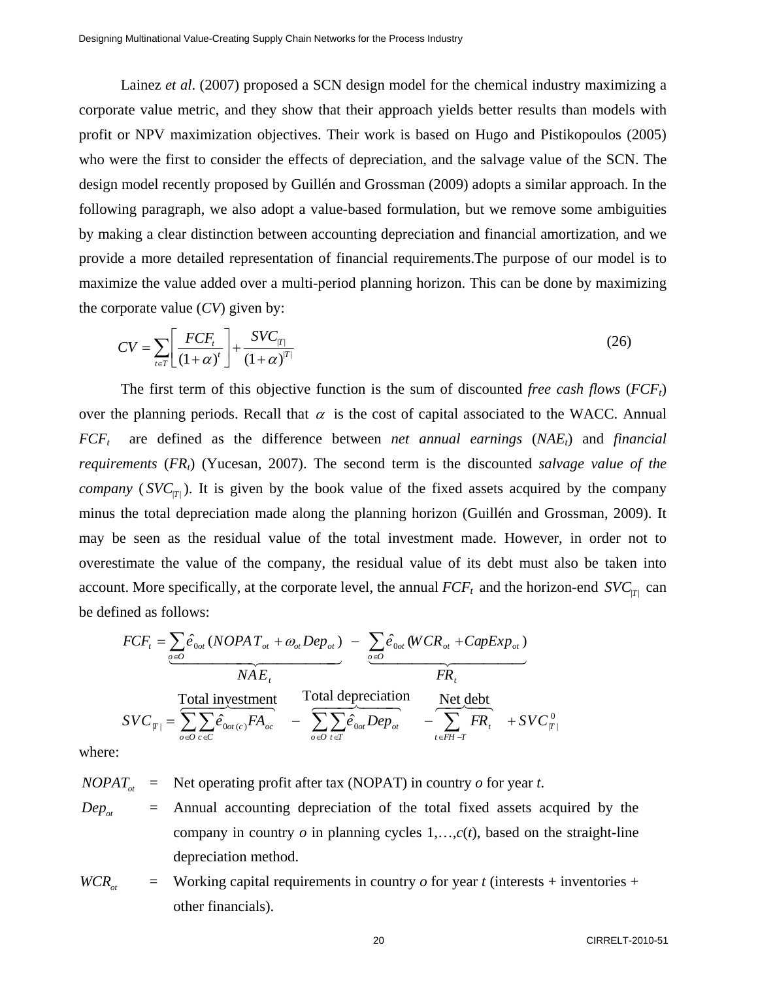Lainez *et al*. (2007) proposed a SCN design model for the chemical industry maximizing a corporate value metric, and they show that their approach yields better results than models with profit or NPV maximization objectives. Their work is based on Hugo and Pistikopoulos (2005) who were the first to consider the effects of depreciation, and the salvage value of the SCN. The design model recently proposed by Guillén and Grossman (2009) adopts a similar approach. In the following paragraph, we also adopt a value-based formulation, but we remove some ambiguities by making a clear distinction between accounting depreciation and financial amortization, and we provide a more detailed representation of financial requirements.The purpose of our model is to maximize the value added over a multi-period planning horizon. This can be done by maximizing the corporate value (*CV*) given by:

$$
CV = \sum_{t \in T} \left[ \frac{FCF_t}{(1+\alpha)^t} \right] + \frac{SVC_{|T|}}{(1+\alpha)^{T}}
$$
\n(26)

The first term of this objective function is the sum of discounted *free cash flows* (*FCFt*) over the planning periods. Recall that  $\alpha$  is the cost of capital associated to the WACC. Annual  $FCF_t$  are defined as the difference between *net annual earnings* (*NAE<sub>t</sub>*) and *financial requirements* (*FRt*) (Yucesan, 2007). The second term is the discounted *salvage value of the company* ( $SVC_{\text{TT}}$ ). It is given by the book value of the fixed assets acquired by the company minus the total depreciation made along the planning horizon (Guillén and Grossman, 2009). It may be seen as the residual value of the total investment made. However, in order not to overestimate the value of the company, the residual value of its debt must also be taken into account. More specifically, at the corporate level, the annual  $FCF_t$  and the horizon-end  $SVC_{\text{TT}}$  can be defined as follows:

$$
FCF_t = \sum_{\varphi \in O} \hat{e}_{0\varphi t} (NOPAT_{\varphi t} + \omega_{\varphi t}Dep_{\varphi t}) - \sum_{\varphi \in O} \hat{e}_{0\varphi t} (WCR_{\varphi t} + CapExp_{\varphi t})
$$
  
\n
$$
NAF_t
$$
  
\n
$$
SVC_{|T|} = \sum_{\varphi \in O} \sum_{c \in C} \hat{e}_{0\varphi t (c)}FA_{\varphi c} - \sum_{\varphi \in O} \sum_{t \in T} \hat{e}_{0\varphi t}Dep_{\varphi t} - \sum_{t \in FH - T} \overline{FR}_t + SVC_{|T|}^0
$$

where:

 $NOPAT_{at}$  = Net operating profit after tax (NOPAT) in country *o* for year *t*.

 $Dep_{\alpha t}$  = Annual accounting depreciation of the total fixed assets acquired by the company in country  $o$  in planning cycles  $1, \ldots, c(t)$ , based on the straight-line depreciation method.

 $WCR_{\alpha t}$  = Working capital requirements in country *o* for year *t* (interests + inventories + other financials).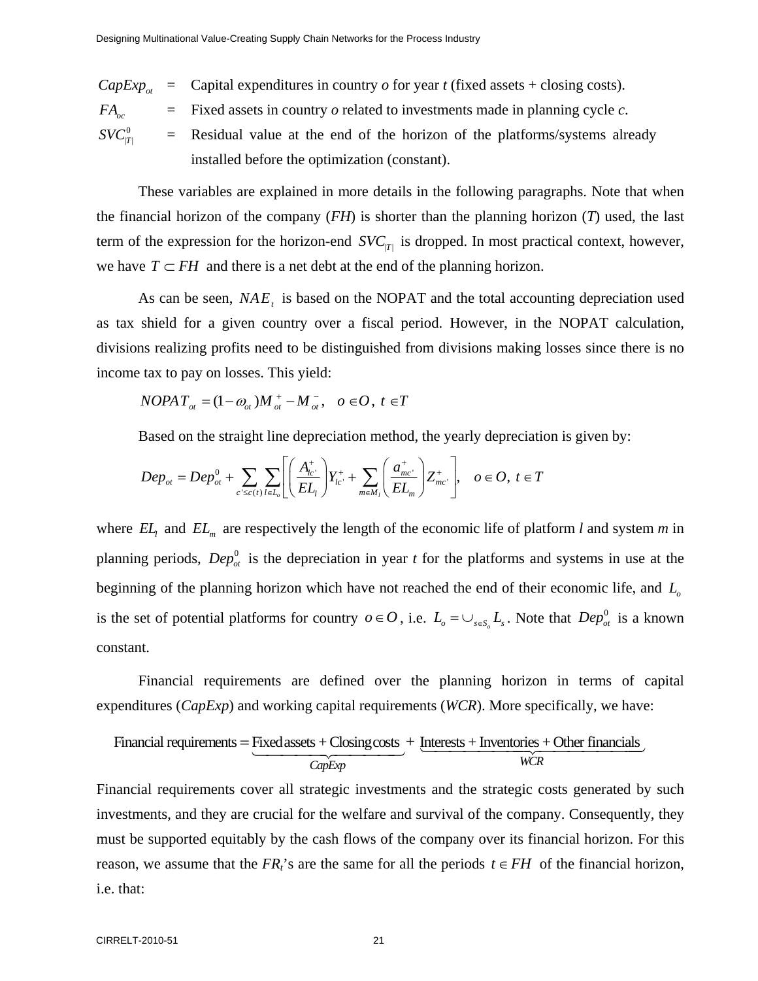*CapExp<sub>ot</sub>* = Capital expenditures in country *o* for year *t* (fixed assets + closing costs).

 $FA_{\infty}$  = Fixed assets in country *o* related to investments made in planning cycle *c*.

 $SVC^{0}_{|T|}$  = Residual value at the end of the horizon of the platforms/systems already installed before the optimization (constant).

These variables are explained in more details in the following paragraphs. Note that when the financial horizon of the company (*FH*) is shorter than the planning horizon (*T*) used, the last term of the expression for the horizon-end  $SVC_{|T|}$  is dropped. In most practical context, however, we have  $T \subset FH$  and there is a net debt at the end of the planning horizon.

As can be seen,  $NAE_t$  is based on the NOPAT and the total accounting depreciation used as tax shield for a given country over a fiscal period. However, in the NOPAT calculation, divisions realizing profits need to be distinguished from divisions making losses since there is no income tax to pay on losses. This yield:

$$
NOPAT_{\sigma t} = (1 - \omega_{\sigma t})M_{\sigma t}^{+} - M_{\sigma t}^{-}, \quad o \in O, \ t \in T
$$

Based on the straight line depreciation method, the yearly depreciation is given by:

$$
Dep_{ot} = Dep_{ot}^{0} + \sum_{c' \leq c(t)} \sum_{l \in L_{v}} \left[ \left( \frac{A_{lc}^{+}}{EL_{l}} \right) Y_{lc}^{+} + \sum_{m \in M_{l}} \left( \frac{a_{mc'}^{+}}{EL_{m}} \right) Z_{mc'}^{+} \right], \quad o \in O, t \in T
$$

where  $EL_1$  and  $EL_m$  are respectively the length of the economic life of platform *l* and system *m* in planning periods,  $Dep_{ot}^0$  is the depreciation in year *t* for the platforms and systems in use at the beginning of the planning horizon which have not reached the end of their economic life, and L<sub>o</sub> is the set of potential platforms for country  $o \in O$ , i.e.  $L_o = \bigcup_{s \in S} L_s$ . Note that  $Dep_{ot}^0$  is a known constant.

Financial requirements are defined over the planning horizon in terms of capital expenditures (*CapExp*) and working capital requirements (*WCR*). More specifically, we have:

Financial requirements = Fixed assets + Closing costs + Interests + Inventories + Other financials  

$$
\underbrace{CapExp}_{CapExp} + \underbrace{Interests + Inventories + Other financials}_{WCR}
$$

Financial requirements cover all strategic investments and the strategic costs generated by such investments, and they are crucial for the welfare and survival of the company. Consequently, they must be supported equitably by the cash flows of the company over its financial horizon. For this reason, we assume that the  $FR_t$ 's are the same for all the periods  $t \in FH$  of the financial horizon, i.e. that: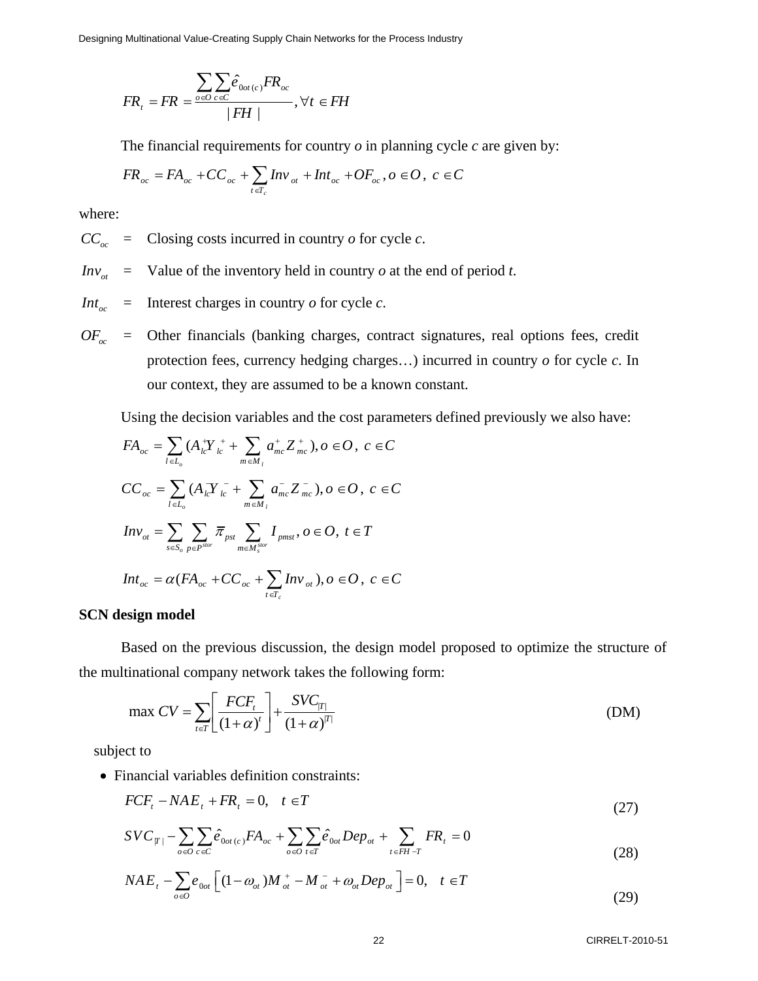Designing Multinational Value-Creating Supply Chain Networks for the Process Industry

$$
FR_{t} = FR = \frac{\sum_{o \in O} \sum_{c \in C} \hat{e}_{0 \text{ot}(c)} FR_{oc}}{|FH|}, \forall t \in FH
$$

The financial requirements for country *o* in planning cycle *c* are given by:

$$
FR_{oc} = FA_{oc} + CC_{oc} + \sum_{t \in T_c} Inv_{ot} + Int_{oc} + OF_{oc}, o \in O, c \in C
$$

where:

 $CC_{\infty}$  = Closing costs incurred in country *o* for cycle *c*.

- $Inv_{ot}$  $=$  Value of the inventory held in country  $o$  at the end of period  $t$ .
- $Int_{oc}$  $=$  Interest charges in country  $\sigma$  for cycle  $c$ .
- $OF_{oc}$  = Other financials (banking charges, contract signatures, real options fees, credit protection fees, currency hedging charges…) incurred in country *o* for cycle *c*. In our context, they are assumed to be a known constant.

Using the decision variables and the cost parameters defined previously we also have:

$$
FA_{oc} = \sum_{l \in L_o} (A_{lc}^+ Y_{lc}^+ + \sum_{m \in M_l} a_{mc}^+ Z_{mc}^+), o \in O, c \in C
$$
  
\n
$$
CC_{oc} = \sum_{l \in L_o} (A_{lc}^+ Y_{lc}^- + \sum_{m \in M_l} a_{mc}^- Z_{mc}^-), o \in O, c \in C
$$
  
\n
$$
Inv_{ot} = \sum_{s \in S_o} \sum_{p \in P^{stor}} \overline{\pi}_{pst} \sum_{m \in M_s^{stor}} I_{pms}, o \in O, t \in T
$$
  
\n
$$
Int_{oc} = \alpha (FA_{oc} + CC_{oc} + \sum_{t \in T_c} Inv_{ot}), o \in O, c \in C
$$

#### **SCN design model**

Based on the previous discussion, the design model proposed to optimize the structure of the multinational company network takes the following form:

$$
\max CV = \sum_{t \in T} \left[ \frac{FCF_t}{(1+\alpha)^t} \right] + \frac{SVC_{|T|}}{(1+\alpha)^{|T|}}
$$
\n(DM)

subject to

• Financial variables definition constraints:

$$
FCF_t - NAE_t + FR_t = 0, \quad t \in T
$$
\n
$$
(27)
$$

$$
SVC_{|T|} - \sum_{o \in O} \sum_{c \in C} \hat{e}_{0ot(c)} FA_{oc} + \sum_{o \in O} \sum_{t \in T} \hat{e}_{0ot} Dep_{ot} + \sum_{t \in FH - T} FR_t = 0
$$
\n(28)

$$
NAE_t - \sum_{o \in O} e_{0ot} \left[ (1 - \omega_{ot}) M_{ot}^+ - M_{ot}^- + \omega_{ot} Dep_{ot} \right] = 0, \quad t \in T
$$
\n(29)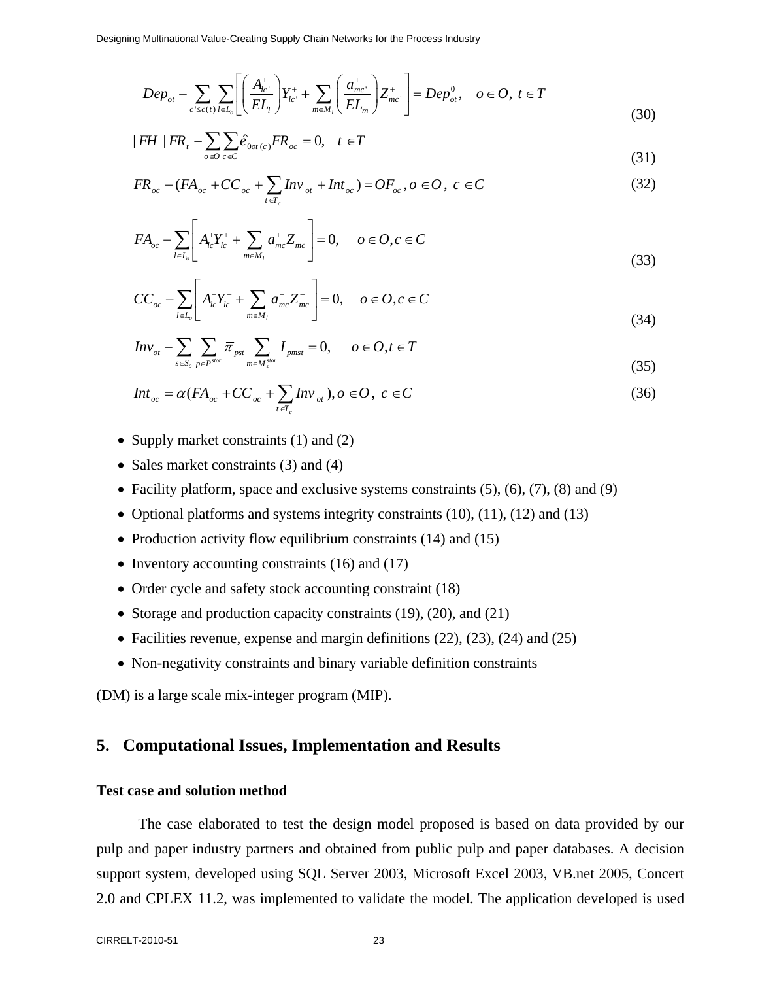$$
Dep_{ot} - \sum_{c' \leq c(t)} \sum_{l \in L_0} \left[ \left( \frac{A_{lc'}^+}{EL_l} \right) Y_{lc'}^+ + \sum_{m \in M_l} \left( \frac{a_{mc'}^+}{EL_m} \right) Z_{mc'}^+ \right] = Dep_{ot}^0, \quad o \in O, \ t \in T
$$
\n(30)

$$
|FH| |FR_t - \sum_{o \in O} \sum_{c \in C} \hat{e}_{0ot(c)} FR_{oc} = 0, \quad t \in T
$$
\n
$$
(31)
$$

$$
FR_{oc} - (FA_{oc} + CC_{oc} + \sum_{t \in T_c} Inv_{ot} + Int_{oc}) = OF_{oc}, o \in O, c \in C
$$
 (32)

$$
FA_{oc} - \sum_{l \in L_o} \left[ A_{lc}^+ Y_{lc}^+ + \sum_{m \in M_l} a_{mc}^+ Z_{mc}^+ \right] = 0, \quad o \in O, c \in C
$$
\n(33)

$$
CC_{oc} - \sum_{l \in L_o} \left[ A_{lc}^{-} Y_{lc}^{-} + \sum_{m \in M_l} a_{mc}^{-} Z_{mc}^{-} \right] = 0, \quad o \in O, c \in C
$$
\n(34)

$$
Inv_{ot} - \sum_{s \in S_o} \sum_{p \in P^{stor}} \overline{\pi}_{pst} \sum_{m \in M^{stor}_{s}} I_{pmst} = 0, \qquad o \in O, t \in T
$$
\n(35)

$$
Int_{oc} = \alpha (FA_{oc} + CC_{oc} + \sum_{t \in T_c} Inv_{ot}), o \in O, c \in C
$$
\n(36)

- Supply market constraints (1) and (2)
- Sales market constraints (3) and (4)
- Facility platform, space and exclusive systems constraints  $(5)$ ,  $(6)$ ,  $(7)$ ,  $(8)$  and  $(9)$
- Optional platforms and systems integrity constraints (10), (11), (12) and (13)
- Production activity flow equilibrium constraints (14) and (15)
- Inventory accounting constraints (16) and (17)
- Order cycle and safety stock accounting constraint (18)
- Storage and production capacity constraints (19), (20), and (21)
- Facilities revenue, expense and margin definitions (22), (23), (24) and (25)
- Non-negativity constraints and binary variable definition constraints

(DM) is a large scale mix-integer program (MIP).

## **5. Computational Issues, Implementation and Results**

### **Test case and solution method**

The case elaborated to test the design model proposed is based on data provided by our pulp and paper industry partners and obtained from public pulp and paper databases. A decision support system, developed using SQL Server 2003, Microsoft Excel 2003, VB.net 2005, Concert 2.0 and CPLEX 11.2, was implemented to validate the model. The application developed is used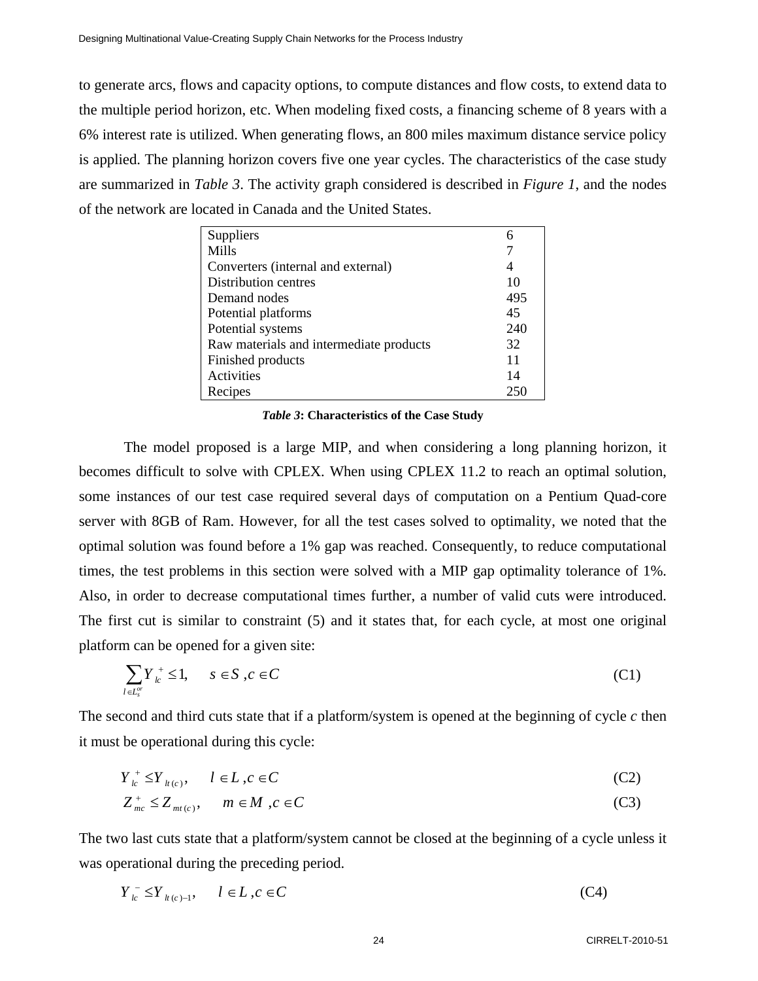to generate arcs, flows and capacity options, to compute distances and flow costs, to extend data to the multiple period horizon, etc. When modeling fixed costs, a financing scheme of 8 years with a 6% interest rate is utilized. When generating flows, an 800 miles maximum distance service policy is applied. The planning horizon covers five one year cycles. The characteristics of the case study are summarized in *Table 3*. The activity graph considered is described in *Figure 1*, and the nodes of the network are located in Canada and the United States.

| Suppliers                               |     |
|-----------------------------------------|-----|
| Mills                                   |     |
| Converters (internal and external)      | 4   |
| Distribution centres                    | 10  |
| Demand nodes                            | 495 |
| Potential platforms                     | 45  |
| Potential systems                       | 240 |
| Raw materials and intermediate products | 32  |
| Finished products                       | 11  |
| Activities                              | 14  |
| Recipes                                 | 250 |

#### *Table 3***: Characteristics of the Case Study**

The model proposed is a large MIP, and when considering a long planning horizon, it becomes difficult to solve with CPLEX. When using CPLEX 11.2 to reach an optimal solution, some instances of our test case required several days of computation on a Pentium Quad-core server with 8GB of Ram. However, for all the test cases solved to optimality, we noted that the optimal solution was found before a 1% gap was reached. Consequently, to reduce computational times, the test problems in this section were solved with a MIP gap optimality tolerance of 1%. Also, in order to decrease computational times further, a number of valid cuts were introduced. The first cut is similar to constraint (5) and it states that, for each cycle, at most one original platform can be opened for a given site:

$$
\sum_{l \in L_s^{\sigma}} Y_{lc}^+ \le 1, \qquad s \in S \, , c \in C \tag{C1}
$$

The second and third cuts state that if a platform/system is opened at the beginning of cycle *c* then it must be operational during this cycle:

$$
Y_{lc}^+ \leq Y_{lt(c)}, \qquad l \in L, c \in C
$$
 (C2)

$$
Z_{mc}^{+} \leq Z_{mt(c)}, \qquad m \in M, c \in C
$$
 (C3)

The two last cuts state that a platform/system cannot be closed at the beginning of a cycle unless it was operational during the preceding period.

$$
Y_{l_c}^- \leq Y_{l_l(c)-1}, \qquad l \in L, c \in C
$$
 (C4)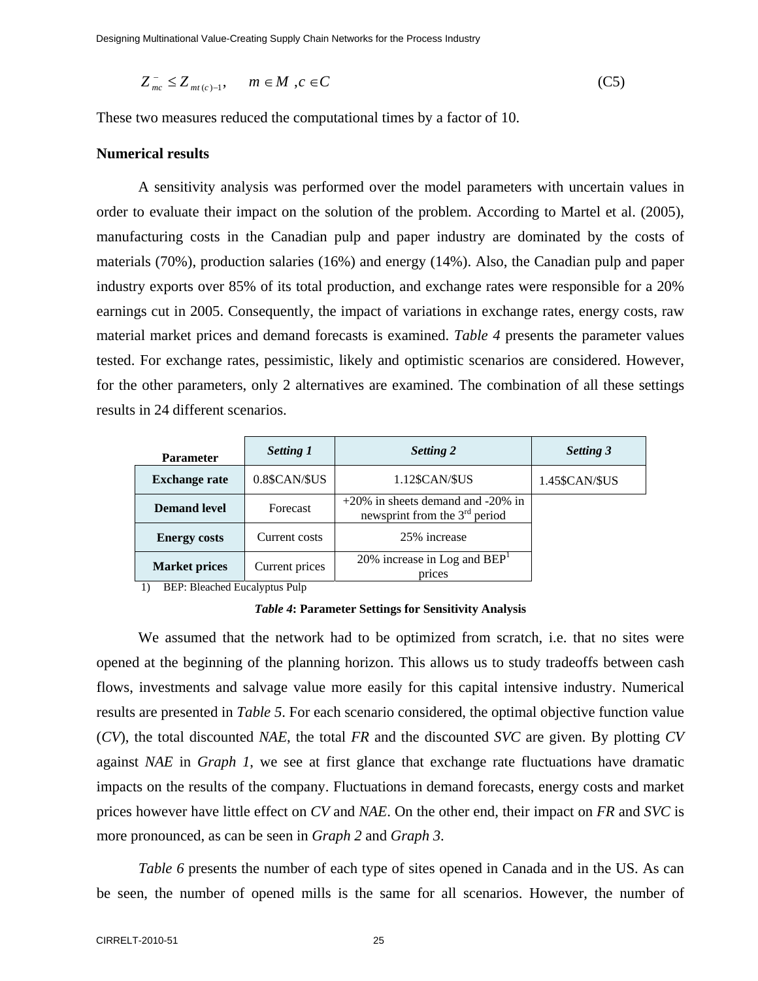Designing Multinational Value-Creating Supply Chain Networks for the Process Industry

$$
Z_{mc}^{-} \leq Z_{mt(c)-1}, \qquad m \in M \quad, c \in C
$$
 (C5)

These two measures reduced the computational times by a factor of 10.

#### **Numerical results**

A sensitivity analysis was performed over the model parameters with uncertain values in order to evaluate their impact on the solution of the problem. According to Martel et al. (2005), manufacturing costs in the Canadian pulp and paper industry are dominated by the costs of materials (70%), production salaries (16%) and energy (14%). Also, the Canadian pulp and paper industry exports over 85% of its total production, and exchange rates were responsible for a 20% earnings cut in 2005. Consequently, the impact of variations in exchange rates, energy costs, raw material market prices and demand forecasts is examined. *Table 4* presents the parameter values tested. For exchange rates, pessimistic, likely and optimistic scenarios are considered. However, for the other parameters, only 2 alternatives are examined. The combination of all these settings results in 24 different scenarios.

| <b>Parameter</b>     | <b>Setting 1</b> | Setting 2                                                               | <b>Setting 3</b> |
|----------------------|------------------|-------------------------------------------------------------------------|------------------|
| <b>Exchange rate</b> | 0.8\$CAN/\$US    | 1.12\$CAN/\$US                                                          | 1.45\$CAN/\$US   |
| <b>Demand level</b>  | Forecast         | $+20\%$ in sheets demand and -20% in<br>newsprint from the $3rd$ period |                  |
| <b>Energy costs</b>  | Current costs    | 25% increase                                                            |                  |
| <b>Market prices</b> | Current prices   | 20% increase in Log and $BEPT$<br>prices                                |                  |

1) BEP: Bleached Eucalyptus Pulp

*Table 4***: Parameter Settings for Sensitivity Analysis** 

We assumed that the network had to be optimized from scratch, i.e. that no sites were opened at the beginning of the planning horizon. This allows us to study tradeoffs between cash flows, investments and salvage value more easily for this capital intensive industry. Numerical results are presented in *Table 5*. For each scenario considered, the optimal objective function value (*CV*), the total discounted *NAE*, the total *FR* and the discounted *SVC* are given. By plotting *CV* against *NAE* in *Graph 1*, we see at first glance that exchange rate fluctuations have dramatic impacts on the results of the company. Fluctuations in demand forecasts, energy costs and market prices however have little effect on *CV* and *NAE*. On the other end, their impact on *FR* and *SVC* is more pronounced, as can be seen in *Graph 2* and *Graph 3*.

*Table 6* presents the number of each type of sites opened in Canada and in the US. As can be seen, the number of opened mills is the same for all scenarios. However, the number of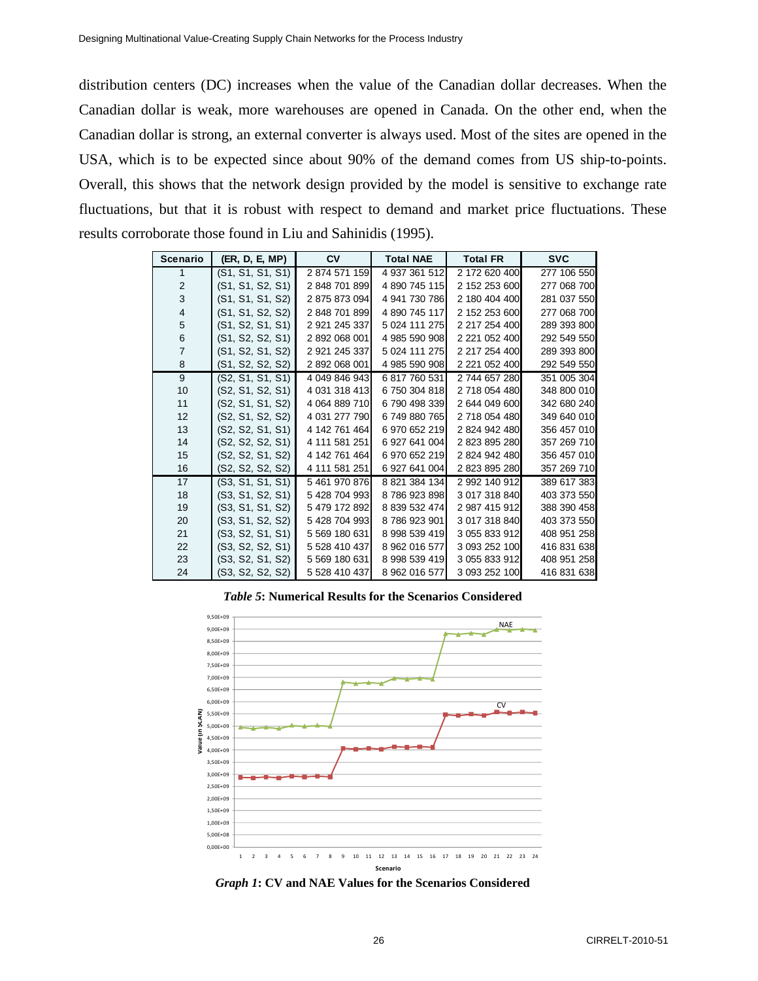distribution centers (DC) increases when the value of the Canadian dollar decreases. When the Canadian dollar is weak, more warehouses are opened in Canada. On the other end, when the Canadian dollar is strong, an external converter is always used. Most of the sites are opened in the USA, which is to be expected since about 90% of the demand comes from US ship-to-points. Overall, this shows that the network design provided by the model is sensitive to exchange rate fluctuations, but that it is robust with respect to demand and market price fluctuations. These results corroborate those found in Liu and Sahinidis (1995).

| <b>Scenario</b> | (ER, D, E, MP)   | CV            | <b>Total NAE</b> | <b>Total FR</b> | <b>SVC</b>  |
|-----------------|------------------|---------------|------------------|-----------------|-------------|
| 1               | (S1, S1, S1, S1) | 2874571159    | 4 937 361 512    | 2 172 620 400   | 277 106 550 |
| 2               | (S1, S1, S2, S1) | 2 848 701 899 | 4 890 745 115    | 2 152 253 600   | 277 068 700 |
| 3               | (S1, S1, S1, S2) | 2 875 873 094 | 4 941 730 786    | 2 180 404 400   | 281 037 550 |
| 4               | (S1, S1, S2, S2) | 2 848 701 899 | 4 890 745 117    | 2 152 253 600   | 277 068 700 |
| 5               | (S1, S2, S1, S1) | 2 921 245 337 | 5 024 111 275    | 2 217 254 400   | 289 393 800 |
| 6               | (S1, S2, S2, S1) | 2 892 068 001 | 4 985 590 908    | 2 221 052 400   | 292 549 550 |
| $\overline{7}$  | (S1, S2, S1, S2) | 2 921 245 337 | 5 024 111 275    | 2 217 254 400   | 289 393 800 |
| 8               | (S1, S2, S2, S2) | 2 892 068 001 | 4 985 590 908    | 2 221 052 400   | 292 549 550 |
| 9               | (S2, S1, S1, S1) | 4 049 846 943 | 6 817 760 531    | 2 744 657 280   | 351 005 304 |
| 10              | (S2, S1, S2, S1) | 4 031 318 413 | 6750 304 818     | 2 718 054 480   | 348 800 010 |
| 11              | (S2, S1, S1, S2) | 4 064 889 710 | 6790498339       | 2 644 049 600   | 342 680 240 |
| 12              | (S2, S1, S2, S2) | 4 031 277 790 | 6 749 880 765    | 2718 054 480    | 349 640 010 |
| 13              | (S2, S2, S1, S1) | 4 142 761 464 | 6 970 652 219    | 2824942480      | 356 457 010 |
| 14              | (S2, S2, S2, S1) | 4 111 581 251 | 6 927 641 004    | 2823895280      | 357 269 710 |
| 15              | (S2, S2, S1, S2) | 4 142 761 464 | 6 970 652 219    | 2824942480      | 356 457 010 |
| 16              | (S2, S2, S2, S2) | 4 111 581 251 | 6 927 641 004    | 2 823 895 280   | 357 269 710 |
| 17              | (S3, S1, S1, S1) | 5 461 970 876 | 8 821 384 134    | 2 992 140 912   | 389 617 383 |
| 18              | (S3, S1, S2, S1) | 5 428 704 993 | 8786923898       | 3 017 318 840   | 403 373 550 |
| 19              | (S3, S1, S1, S2) | 5 479 172 892 | 8 839 532 474    | 2 987 415 912   | 388 390 458 |
| 20              | (S3, S1, S2, S2) | 5428704993    | 8786923901       | 3 017 318 840   | 403 373 550 |
| 21              | (S3, S2, S1, S1) | 5 569 180 631 | 8 998 539 419    | 3 055 833 912   | 408 951 258 |
| 22              | (S3, S2, S2, S1) | 5 528 410 437 | 8 962 016 577    | 3 093 252 100   | 416 831 638 |
| 23              | (S3, S2, S1, S2) | 5 569 180 631 | 8 998 539 419    | 3 055 833 912   | 408 951 258 |
| 24              | (S3, S2, S2, S2) | 5 528 410 437 | 8 962 016 577    | 3 093 252 100   | 416 831 638 |

*Table 5***: Numerical Results for the Scenarios Considered** 



*Graph 1***: CV and NAE Values for the Scenarios Considered**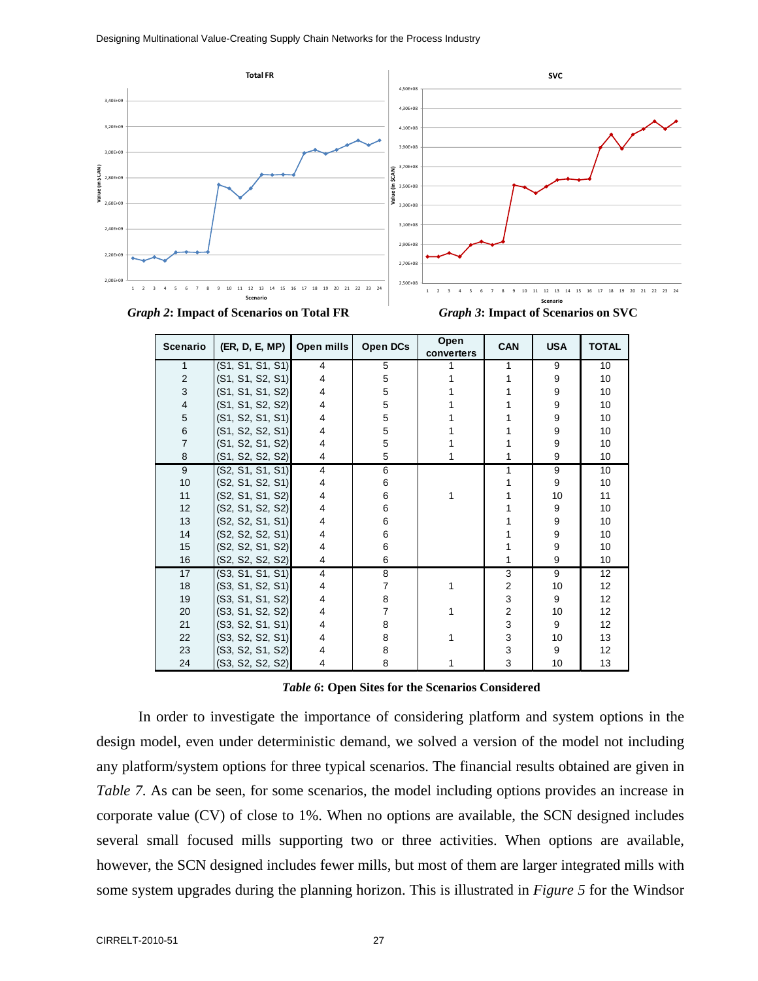



| Scenario                | (ER, D, E, MP)   | Open mills     | Open DCs | Open<br>converters | <b>CAN</b>              | <b>USA</b> | <b>TOTAL</b> |
|-------------------------|------------------|----------------|----------|--------------------|-------------------------|------------|--------------|
| $\mathbf{1}$            | (S1, S1, S1, S1) | 4              | 5        |                    | 1                       | 9          | 10           |
| $\overline{2}$          | (S1, S1, S2, S1) | 4              | 5        |                    | 1                       | 9          | 10           |
| 3                       | (S1, S1, S1, S2) | 4              | 5        |                    |                         | 9          | 10           |
| $\overline{\mathbf{4}}$ | (S1, S1, S2, S2) | 4              | 5        |                    |                         | 9          | 10           |
| 5                       | (S1, S2, S1, S1) | 4              | 5        |                    |                         | 9          | 10           |
| $\,6$                   | (S1, S2, S2, S1) | 4              | 5        |                    |                         | 9          | 10           |
| $\overline{7}$          | (S1, S2, S1, S2) | 4              | 5        |                    |                         | 9          | 10           |
| 8                       | (S1, S2, S2, S2) | 4              | 5        |                    | 1                       | 9          | 10           |
| 9                       | (S2, S1, S1, S1) | 4              | 6        |                    | 1                       | 9          | 10           |
| 10                      | (S2, S1, S2, S1) | 4              | 6        |                    |                         | 9          | 10           |
| 11                      | (S2, S1, S1, S2) | 4              | 6        | 1                  |                         | 10         | 11           |
| 12                      | (S2, S1, S2, S2) | 4              | 6        |                    |                         | 9          | 10           |
| 13                      | (S2, S2, S1, S1) | 4              | 6        |                    |                         | 9          | 10           |
| 14                      | (S2, S2, S2, S1) | 4              | 6        |                    |                         | 9          | 10           |
| 15                      | (S2, S2, S1, S2) | 4              | 6        |                    |                         | 9          | 10           |
| 16                      | (S2, S2, S2, S2) | 4              | 6        |                    | 1                       | 9          | 10           |
| 17                      | (S3, S1, S1, S1) | $\overline{4}$ | 8        |                    | 3                       | 9          | 12           |
| 18                      | (S3, S1, S2, S1) | 4              | 7        |                    | $\overline{2}$          | 10         | 12           |
| 19                      | (S3, S1, S1, S2) | 4              | 8        |                    | 3                       | 9          | 12           |
| 20                      | (S3, S1, S2, S2) | 4              | 7        |                    | $\overline{\mathbf{c}}$ | 10         | 12           |
| 21                      | (S3, S2, S1, S1) | 4              | 8        |                    | 3                       | 9          | 12           |
| 22                      | (S3, S2, S2, S1) | 4              | 8        |                    | 3                       | 10         | 13           |
| 23                      | (S3, S2, S1, S2) | 4              | 8        |                    | 3                       | 9          | 12           |
| 24                      | (S3, S2, S2, S2) | 4              | 8        |                    | 3                       | 10         | 13           |

#### *Table 6***: Open Sites for the Scenarios Considered**

In order to investigate the importance of considering platform and system options in the design model, even under deterministic demand, we solved a version of the model not including any platform/system options for three typical scenarios. The financial results obtained are given in *Table 7*. As can be seen, for some scenarios, the model including options provides an increase in corporate value (CV) of close to 1%. When no options are available, the SCN designed includes several small focused mills supporting two or three activities. When options are available, however, the SCN designed includes fewer mills, but most of them are larger integrated mills with some system upgrades during the planning horizon. This is illustrated in *Figure 5* for the Windsor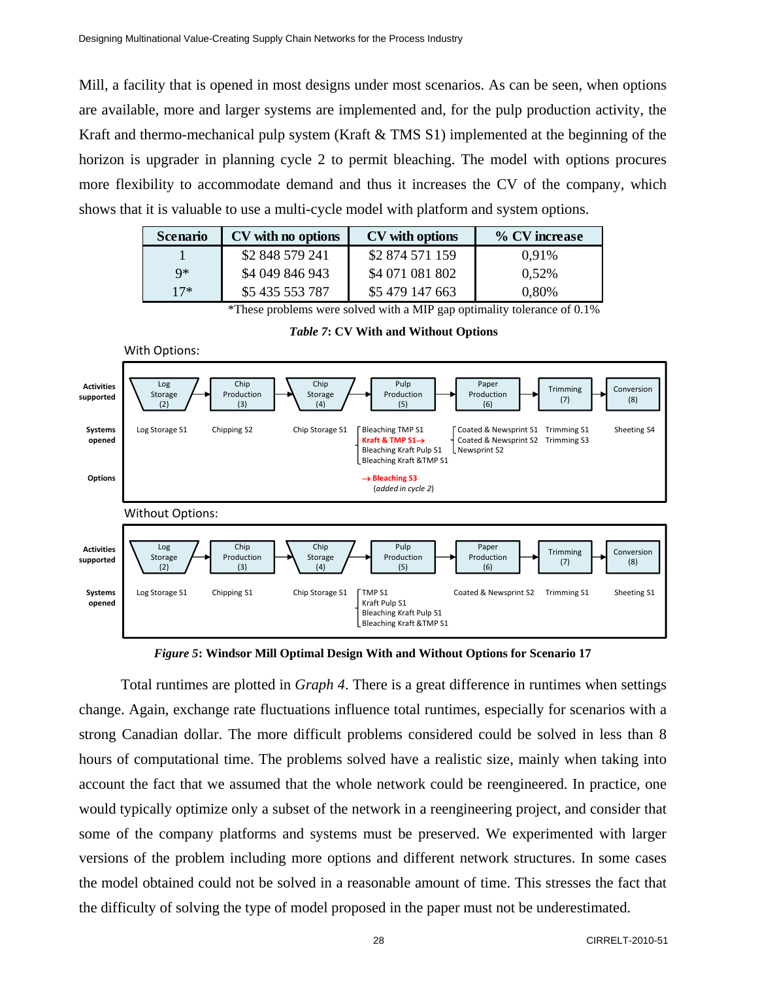Mill, a facility that is opened in most designs under most scenarios. As can be seen, when options are available, more and larger systems are implemented and, for the pulp production activity, the Kraft and thermo-mechanical pulp system (Kraft & TMS S1) implemented at the beginning of the horizon is upgrader in planning cycle 2 to permit bleaching. The model with options procures more flexibility to accommodate demand and thus it increases the CV of the company, which shows that it is valuable to use a multi-cycle model with platform and system options.

| <b>Scenario</b> | CV with no options | CV with options | % CV increase |
|-----------------|--------------------|-----------------|---------------|
|                 | \$2 848 579 241    | \$2 874 571 159 | 0.91%         |
| $Q*$            | \$4 049 846 943    | \$4 071 081 802 | 0.52%         |
| $17*$           | \$5 435 553 787    | \$5 479 147 663 | 0,80%         |

\*These problems were solved with a MIP gap optimality tolerance of 0.1%





*Figure 5***: Windsor Mill Optimal Design With and Without Options for Scenario 17** 

Total runtimes are plotted in *Graph 4*. There is a great difference in runtimes when settings change. Again, exchange rate fluctuations influence total runtimes, especially for scenarios with a strong Canadian dollar. The more difficult problems considered could be solved in less than 8 hours of computational time. The problems solved have a realistic size, mainly when taking into account the fact that we assumed that the whole network could be reengineered. In practice, one would typically optimize only a subset of the network in a reengineering project, and consider that some of the company platforms and systems must be preserved. We experimented with larger versions of the problem including more options and different network structures. In some cases the model obtained could not be solved in a reasonable amount of time. This stresses the fact that the difficulty of solving the type of model proposed in the paper must not be underestimated.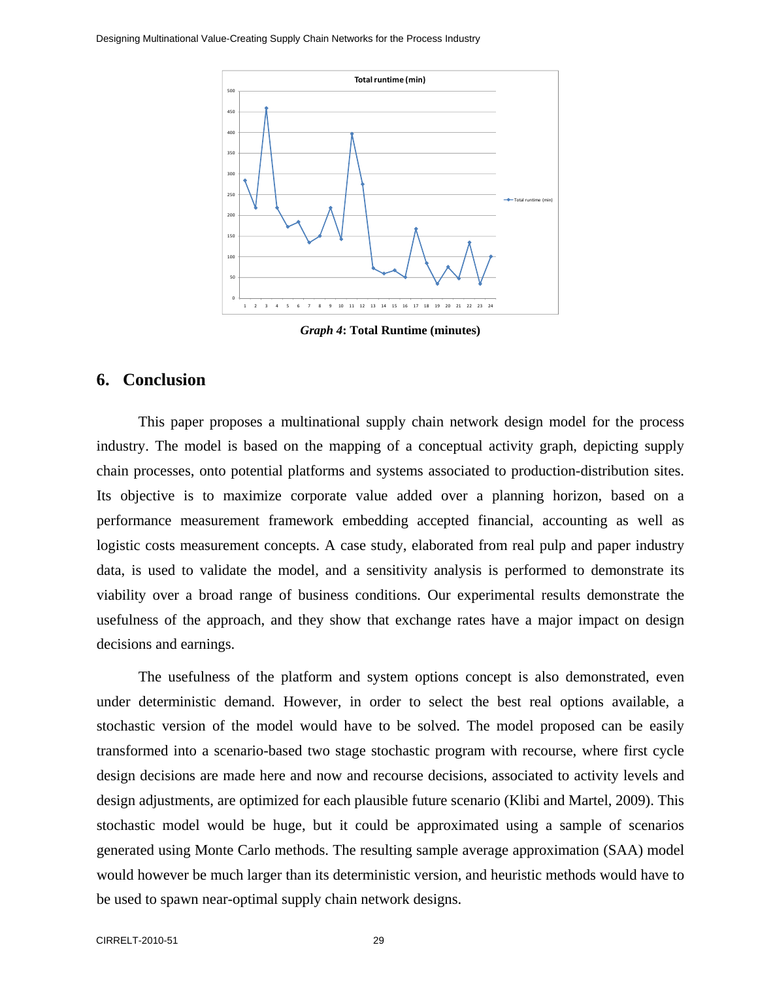Designing Multinational Value-Creating Supply Chain Networks for the Process Industry



*Graph 4***: Total Runtime (minutes)** 

## **6. Conclusion**

This paper proposes a multinational supply chain network design model for the process industry. The model is based on the mapping of a conceptual activity graph, depicting supply chain processes, onto potential platforms and systems associated to production-distribution sites. Its objective is to maximize corporate value added over a planning horizon, based on a performance measurement framework embedding accepted financial, accounting as well as logistic costs measurement concepts. A case study, elaborated from real pulp and paper industry data, is used to validate the model, and a sensitivity analysis is performed to demonstrate its viability over a broad range of business conditions. Our experimental results demonstrate the usefulness of the approach, and they show that exchange rates have a major impact on design decisions and earnings.

The usefulness of the platform and system options concept is also demonstrated, even under deterministic demand. However, in order to select the best real options available, a stochastic version of the model would have to be solved. The model proposed can be easily transformed into a scenario-based two stage stochastic program with recourse, where first cycle design decisions are made here and now and recourse decisions, associated to activity levels and design adjustments, are optimized for each plausible future scenario (Klibi and Martel, 2009). This stochastic model would be huge, but it could be approximated using a sample of scenarios generated using Monte Carlo methods. The resulting sample average approximation (SAA) model would however be much larger than its deterministic version, and heuristic methods would have to be used to spawn near-optimal supply chain network designs.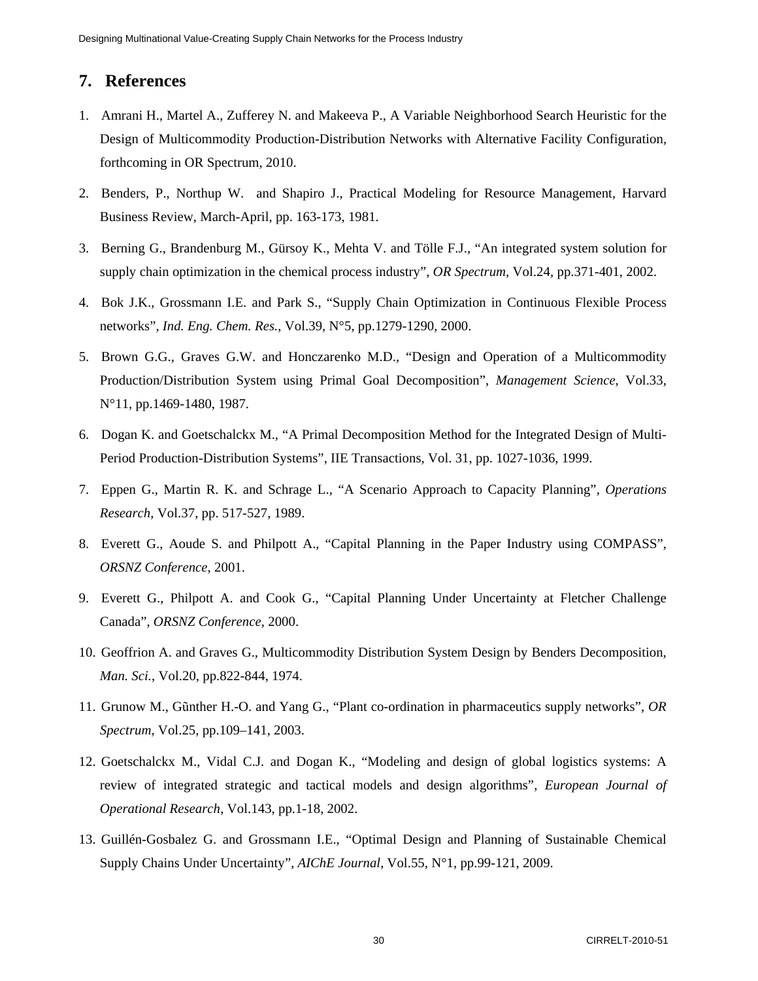# **7. References**

- 1. Amrani H., Martel A., Zufferey N. and Makeeva P., A Variable Neighborhood Search Heuristic for the Design of Multicommodity Production-Distribution Networks with Alternative Facility Configuration, forthcoming in OR Spectrum, 2010.
- 2. Benders, P., Northup W. and Shapiro J., Practical Modeling for Resource Management, Harvard Business Review, March-April, pp. 163-173, 1981.
- 3. Berning G., Brandenburg M., Gürsoy K., Mehta V. and Tölle F.J., "An integrated system solution for supply chain optimization in the chemical process industry", *OR Spectrum*, Vol.24, pp.371-401, 2002.
- 4. Bok J.K., Grossmann I.E. and Park S., "Supply Chain Optimization in Continuous Flexible Process networks", *Ind. Eng. Chem. Res.*, Vol.39, N°5, pp.1279-1290, 2000.
- 5. Brown G.G., Graves G.W. and Honczarenko M.D., "Design and Operation of a Multicommodity Production/Distribution System using Primal Goal Decomposition", *Management Science*, Vol.33, N°11, pp.1469-1480, 1987.
- 6. Dogan K. and Goetschalckx M., "A Primal Decomposition Method for the Integrated Design of Multi-Period Production-Distribution Systems", IIE Transactions, Vol. 31, pp. 1027-1036, 1999.
- 7. Eppen G., Martin R. K. and Schrage L., "A Scenario Approach to Capacity Planning", *Operations Research*, Vol.37, pp. 517-527, 1989.
- 8. Everett G., Aoude S. and Philpott A., "Capital Planning in the Paper Industry using COMPASS", *ORSNZ Conference*, 2001.
- 9. Everett G., Philpott A. and Cook G., "Capital Planning Under Uncertainty at Fletcher Challenge Canada", *ORSNZ Conference*, 2000.
- 10. Geoffrion A. and Graves G., Multicommodity Distribution System Design by Benders Decomposition, *Man. Sci.*, Vol.20, pp.822-844, 1974.
- 11. Grunow M., Gũnther H.-O. and Yang G., "Plant co-ordination in pharmaceutics supply networks", *OR Spectrum*, Vol.25, pp.109–141, 2003.
- 12. Goetschalckx M., Vidal C.J. and Dogan K., "Modeling and design of global logistics systems: A review of integrated strategic and tactical models and design algorithms", *European Journal of Operational Research*, Vol.143, pp.1-18, 2002.
- 13. Guillén-Gosbalez G. and Grossmann I.E., "Optimal Design and Planning of Sustainable Chemical Supply Chains Under Uncertainty", *AIChE Journal*, Vol.55, N°1, pp.99-121, 2009.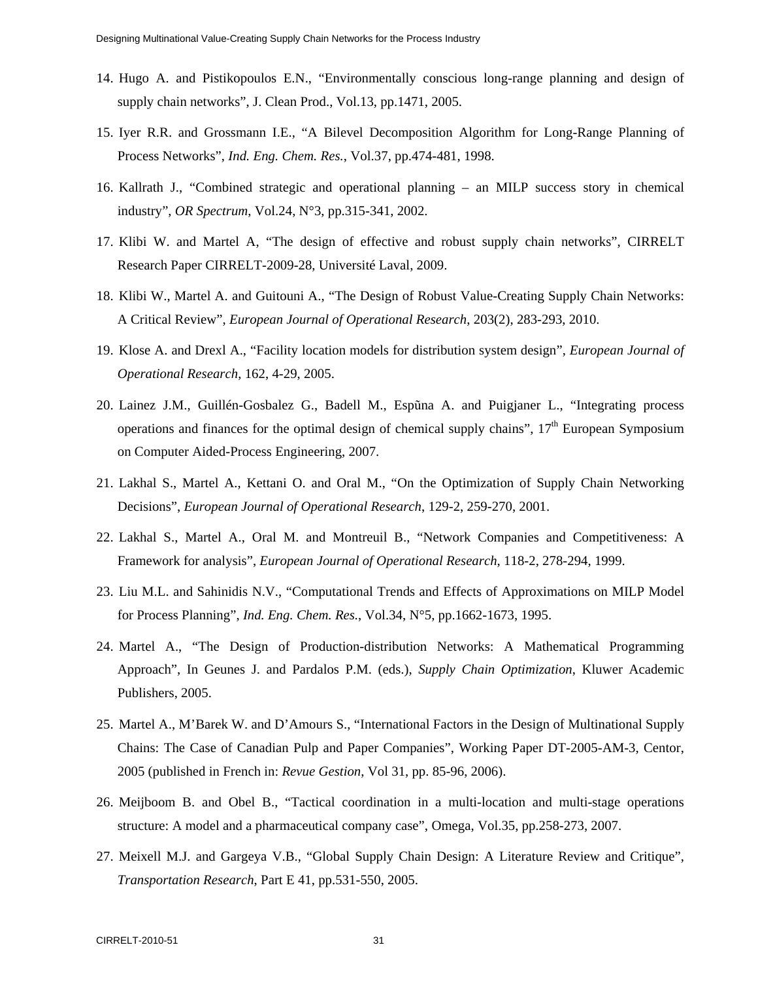- 14. Hugo A. and Pistikopoulos E.N., "Environmentally conscious long-range planning and design of supply chain networks", J. Clean Prod., Vol.13, pp.1471, 2005.
- 15. Iyer R.R. and Grossmann I.E., "A Bilevel Decomposition Algorithm for Long-Range Planning of Process Networks", *Ind. Eng. Chem. Res.*, Vol.37, pp.474-481, 1998.
- 16. Kallrath J., "Combined strategic and operational planning an MILP success story in chemical industry", *OR Spectrum*, Vol.24, N°3, pp.315-341, 2002.
- 17. Klibi W. and Martel A, "The design of effective and robust supply chain networks", CIRRELT Research Paper CIRRELT-2009-28, Université Laval, 2009.
- 18. Klibi W., Martel A. and Guitouni A., "The Design of Robust Value-Creating Supply Chain Networks: A Critical Review", *European Journal of Operational Research*, 203(2), 283-293, 2010.
- 19. Klose A. and Drexl A., "Facility location models for distribution system design", *European Journal of Operational Research*, 162, 4-29, 2005.
- 20. Lainez J.M., Guillén-Gosbalez G., Badell M., Espũna A. and Puigjaner L., "Integrating process operations and finances for the optimal design of chemical supply chains",  $17<sup>th</sup>$  European Symposium on Computer Aided-Process Engineering, 2007.
- 21. Lakhal S., Martel A., Kettani O. and Oral M., "On the Optimization of Supply Chain Networking Decisions", *European Journal of Operational Research*, 129-2, 259-270, 2001.
- 22. Lakhal S., Martel A., Oral M. and Montreuil B., "Network Companies and Competitiveness: A Framework for analysis", *European Journal of Operational Research*, 118-2, 278-294, 1999.
- 23. Liu M.L. and Sahinidis N.V., "Computational Trends and Effects of Approximations on MILP Model for Process Planning", *Ind. Eng. Chem. Res.*, Vol.34, N°5, pp.1662-1673, 1995.
- 24. Martel A., "The Design of Production-distribution Networks: A Mathematical Programming Approach", In Geunes J. and Pardalos P.M. (eds.), *Supply Chain Optimization*, Kluwer Academic Publishers, 2005.
- 25. Martel A., M'Barek W. and D'Amours S., "International Factors in the Design of Multinational Supply Chains: The Case of Canadian Pulp and Paper Companies", Working Paper DT-2005-AM-3, Centor, 2005 (published in French in: *Revue Gestion*, Vol 31, pp. 85-96, 2006).
- 26. Meijboom B. and Obel B., "Tactical coordination in a multi-location and multi-stage operations structure: A model and a pharmaceutical company case", Omega, Vol.35, pp.258-273, 2007.
- 27. Meixell M.J. and Gargeya V.B., "Global Supply Chain Design: A Literature Review and Critique", *Transportation Research*, Part E 41, pp.531-550, 2005.